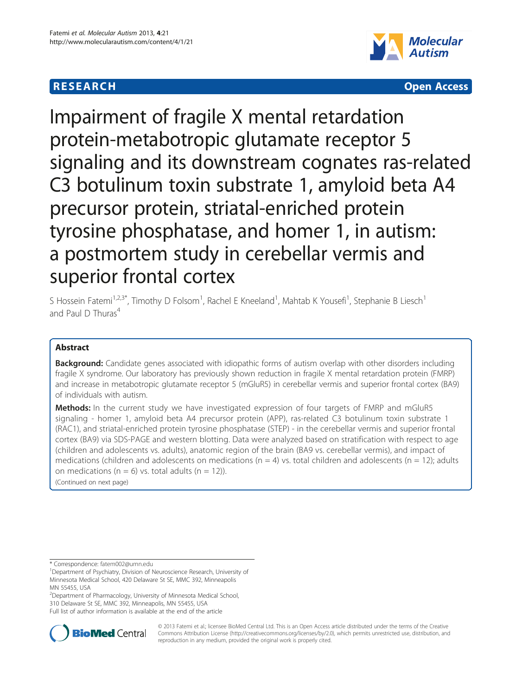# **RESEARCH CHEAR CHEAR CHEAR CHEAR CHEAR CHEAR CHEAR CHEAR CHEAR CHEAR CHEAR CHEAR CHEAR CHEAR CHEAR CHEAR CHEAR**



Impairment of fragile X mental retardation protein-metabotropic glutamate receptor 5 signaling and its downstream cognates ras-related C3 botulinum toxin substrate 1, amyloid beta A4 precursor protein, striatal-enriched protein tyrosine phosphatase, and homer 1, in autism: a postmortem study in cerebellar vermis and superior frontal cortex

S Hossein Fatemi<sup>1,2,3\*</sup>, Timothy D Folsom<sup>1</sup>, Rachel E Kneeland<sup>1</sup>, Mahtab K Yousefi<sup>1</sup>, Stephanie B Liesch<sup>1</sup> and Paul D Thuras<sup>4</sup>

# Abstract

Background: Candidate genes associated with idiopathic forms of autism overlap with other disorders including fragile X syndrome. Our laboratory has previously shown reduction in fragile X mental retardation protein (FMRP) and increase in metabotropic glutamate receptor 5 (mGluR5) in cerebellar vermis and superior frontal cortex (BA9) of individuals with autism.

Methods: In the current study we have investigated expression of four targets of FMRP and mGluR5 signaling - homer 1, amyloid beta A4 precursor protein (APP), ras-related C3 botulinum toxin substrate 1 (RAC1), and striatal-enriched protein tyrosine phosphatase (STEP) - in the cerebellar vermis and superior frontal cortex (BA9) via SDS-PAGE and western blotting. Data were analyzed based on stratification with respect to age (children and adolescents vs. adults), anatomic region of the brain (BA9 vs. cerebellar vermis), and impact of medications (children and adolescents on medications ( $n = 4$ ) vs. total children and adolescents ( $n = 12$ ); adults on medications ( $n = 6$ ) vs. total adults ( $n = 12$ )).

(Continued on next page)

\* Correspondence: [fatem002@umn.edu](mailto:fatem002@umn.edu) <sup>1</sup>

<sup>2</sup>Department of Pharmacology, University of Minnesota Medical School, 310 Delaware St SE, MMC 392, Minneapolis, MN 55455, USA Full list of author information is available at the end of the article



© 2013 Fatemi et al.; licensee BioMed Central Ltd. This is an Open Access article distributed under the terms of the Creative Commons Attribution License [\(http://creativecommons.org/licenses/by/2.0\)](http://creativecommons.org/licenses/by/2.0), which permits unrestricted use, distribution, and reproduction in any medium, provided the original work is properly cited.

<sup>&</sup>lt;sup>1</sup>Department of Psychiatry, Division of Neuroscience Research, University of Minnesota Medical School, 420 Delaware St SE, MMC 392, Minneapolis MN 55455, USA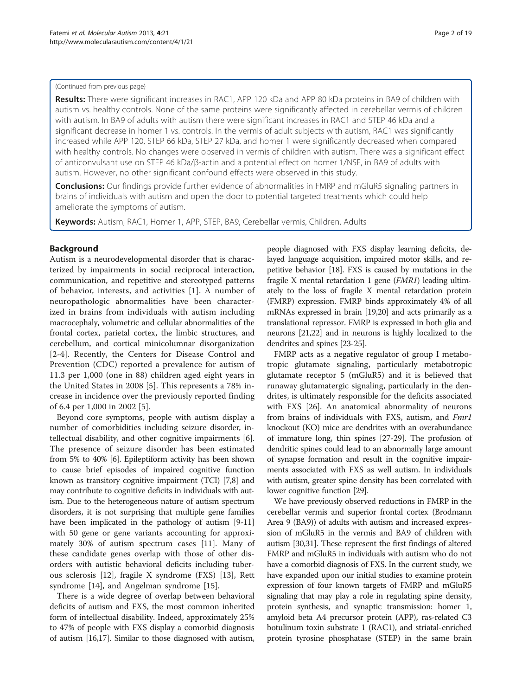### (Continued from previous page)

Results: There were significant increases in RAC1, APP 120 kDa and APP 80 kDa proteins in BA9 of children with autism vs. healthy controls. None of the same proteins were significantly affected in cerebellar vermis of children with autism. In BA9 of adults with autism there were significant increases in RAC1 and STEP 46 kDa and a significant decrease in homer 1 vs. controls. In the vermis of adult subjects with autism, RAC1 was significantly increased while APP 120, STEP 66 kDa, STEP 27 kDa, and homer 1 were significantly decreased when compared with healthy controls. No changes were observed in vermis of children with autism. There was a significant effect of anticonvulsant use on STEP 46 kDa/β-actin and a potential effect on homer 1/NSE, in BA9 of adults with autism. However, no other significant confound effects were observed in this study.

**Conclusions:** Our findings provide further evidence of abnormalities in FMRP and mGluR5 signaling partners in brains of individuals with autism and open the door to potential targeted treatments which could help ameliorate the symptoms of autism.

Keywords: Autism, RAC1, Homer 1, APP, STEP, BA9, Cerebellar vermis, Children, Adults

# Background

Autism is a neurodevelopmental disorder that is characterized by impairments in social reciprocal interaction, communication, and repetitive and stereotyped patterns of behavior, interests, and activities [[1\]](#page-16-0). A number of neuropathologic abnormalities have been characterized in brains from individuals with autism including macrocephaly, volumetric and cellular abnormalities of the frontal cortex, parietal cortex, the limbic structures, and cerebellum, and cortical minicolumnar disorganization [[2](#page-16-0)-[4\]](#page-16-0). Recently, the Centers for Disease Control and Prevention (CDC) reported a prevalence for autism of 11.3 per 1,000 (one in 88) children aged eight years in the United States in 2008 [[5\]](#page-16-0). This represents a 78% increase in incidence over the previously reported finding of 6.4 per 1,000 in 2002 [\[5](#page-16-0)].

Beyond core symptoms, people with autism display a number of comorbidities including seizure disorder, intellectual disability, and other cognitive impairments [\[6](#page-16-0)]. The presence of seizure disorder has been estimated from 5% to 40% [\[6](#page-16-0)]. Epileptiform activity has been shown to cause brief episodes of impaired cognitive function known as transitory cognitive impairment (TCI) [[7,8](#page-16-0)] and may contribute to cognitive deficits in individuals with autism. Due to the heterogeneous nature of autism spectrum disorders, it is not surprising that multiple gene families have been implicated in the pathology of autism [[9](#page-16-0)-[11](#page-16-0)] with 50 gene or gene variants accounting for approximately 30% of autism spectrum cases [[11](#page-16-0)]. Many of these candidate genes overlap with those of other disorders with autistic behavioral deficits including tuberous sclerosis [\[12](#page-16-0)], fragile X syndrome (FXS) [[13\]](#page-16-0), Rett syndrome [\[14\]](#page-16-0), and Angelman syndrome [[15](#page-16-0)].

There is a wide degree of overlap between behavioral deficits of autism and FXS, the most common inherited form of intellectual disability. Indeed, approximately 25% to 47% of people with FXS display a comorbid diagnosis of autism [\[16,17\]](#page-16-0). Similar to those diagnosed with autism,

people diagnosed with FXS display learning deficits, delayed language acquisition, impaired motor skills, and repetitive behavior [\[18\]](#page-16-0). FXS is caused by mutations in the fragile X mental retardation 1 gene (FMR1) leading ultimately to the loss of fragile X mental retardation protein (FMRP) expression. FMRP binds approximately 4% of all mRNAs expressed in brain [\[19,20\]](#page-16-0) and acts primarily as a translational repressor. FMRP is expressed in both glia and neurons [[21,22\]](#page-16-0) and in neurons is highly localized to the dendrites and spines [\[23-25](#page-16-0)].

FMRP acts as a negative regulator of group I metabotropic glutamate signaling, particularly metabotropic glutamate receptor 5 (mGluR5) and it is believed that runaway glutamatergic signaling, particularly in the dendrites, is ultimately responsible for the deficits associated with FXS [\[26](#page-16-0)]. An anatomical abnormality of neurons from brains of individuals with FXS, autism, and *Fmr1* knockout (KO) mice are dendrites with an overabundance of immature long, thin spines [\[27](#page-16-0)[-29\]](#page-17-0). The profusion of dendritic spines could lead to an abnormally large amount of synapse formation and result in the cognitive impairments associated with FXS as well autism. In individuals with autism, greater spine density has been correlated with lower cognitive function [\[29\]](#page-17-0).

We have previously observed reductions in FMRP in the cerebellar vermis and superior frontal cortex (Brodmann Area 9 (BA9)) of adults with autism and increased expression of mGluR5 in the vermis and BA9 of children with autism [\[30,31](#page-17-0)]. These represent the first findings of altered FMRP and mGluR5 in individuals with autism who do not have a comorbid diagnosis of FXS. In the current study, we have expanded upon our initial studies to examine protein expression of four known targets of FMRP and mGluR5 signaling that may play a role in regulating spine density, protein synthesis, and synaptic transmission: homer 1, amyloid beta A4 precursor protein (APP), ras-related C3 botulinum toxin substrate 1 (RAC1), and striatal-enriched protein tyrosine phosphatase (STEP) in the same brain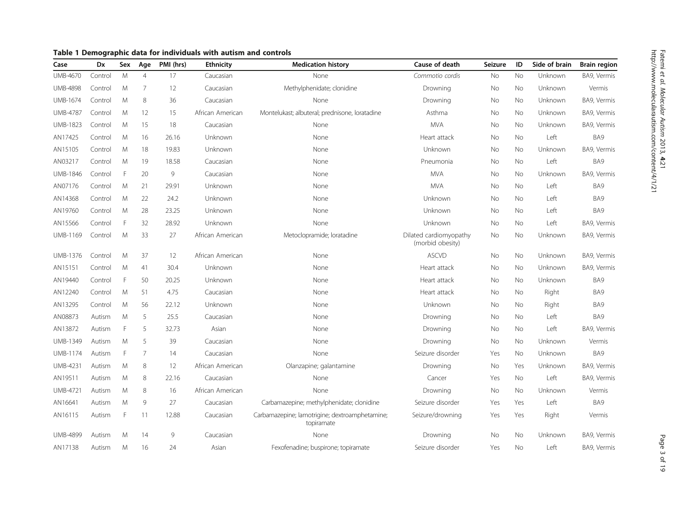| Case            | Dx      | Sex | Age            | PMI (hrs) | <b>Ethnicity</b> | <b>Medication history</b>                                    | Cause of death                             | Seizure | ID        | Side of brain | <b>Brain region</b> |
|-----------------|---------|-----|----------------|-----------|------------------|--------------------------------------------------------------|--------------------------------------------|---------|-----------|---------------|---------------------|
| UMB-4670        | Control | M   | $\overline{4}$ | 17        | Caucasian        | None                                                         | Commotio cordis                            | No      | No        | Unknown       | BA9, Vermis         |
| <b>UMB-4898</b> | Control | M   | 7              | 12        | Caucasian        | Methylphenidate; clonidine                                   | Drowning                                   | No      | No        | Unknown       | Vermis              |
| <b>UMB-1674</b> | Control | M   | 8              | 36        | Caucasian        | None                                                         | Drowning                                   | No      | No        | Unknown       | BA9, Vermis         |
| <b>UMB-4787</b> | Control | M   | 12             | 15        | African American | Montelukast; albuteral; prednisone, loratadine               | Asthma                                     | No      | No        | Unknown       | BA9, Vermis         |
| <b>UMB-1823</b> | Control | M   | 15             | 18        | Caucasian        | None                                                         | <b>MVA</b>                                 | No      | No        | Unknown       | BA9, Vermis         |
| AN17425         | Control | M   | 16             | 26.16     | Unknown          | None                                                         | Heart attack                               | No      | No        | Left          | BA9                 |
| AN15105         | Control | M   | 18             | 19.83     | Unknown          | None                                                         | Unknown                                    | No      | <b>No</b> | Unknown       | BA9, Vermis         |
| AN03217         | Control | M   | 19             | 18.58     | Caucasian        | None                                                         | Pneumonia                                  | No      | No        | Left          | BA9                 |
| UMB-1846        | Control | F   | 20             | 9         | Caucasian        | None                                                         | <b>MVA</b>                                 | No      | No        | Unknown       | BA9, Vermis         |
| AN07176         | Control | M   | 21             | 29.91     | Unknown          | None                                                         | <b>MVA</b>                                 | No      | No        | Left          | BA9                 |
| AN14368         | Control | M   | 22             | 24.2      | Unknown          | None                                                         | Unknown                                    | No      | No        | Left          | BA9                 |
| AN19760         | Control | M   | 28             | 23.25     | Unknown          | None                                                         | Unknown                                    | No      | No        | Left          | BA9                 |
| AN15566         | Control | F   | 32             | 28.92     | Unknown          | None                                                         | Unknown                                    | No      | No        | Left          | BA9, Vermis         |
| UMB-1169        | Control | M   | 33             | 27        | African American | Metoclopramide; loratadine                                   | Dilated cardiomyopathy<br>(morbid obesity) | No      | No        | Unknown       | BA9, Vermis         |
| UMB-1376        | Control | M   | 37             | 12        | African American | None                                                         | <b>ASCVD</b>                               | No      | No        | Unknown       | BA9, Vermis         |
| AN15151         | Control | M   | 41             | 30.4      | Unknown          | None                                                         | Heart attack                               | No      | No        | Unknown       | BA9, Vermis         |
| AN19440         | Control | F   | 50             | 20.25     | Unknown          | None                                                         | Heart attack                               | No      | No        | Unknown       | BA9                 |
| AN12240         | Control | M   | 51             | 4.75      | Caucasian        | None                                                         | Heart attack                               | No      | No        | Right         | BA9                 |
| AN13295         | Control | M   | 56             | 22.12     | Unknown          | None                                                         | Unknown                                    | No      | <b>No</b> | Right         | BA9                 |
| AN08873         | Autism  | M   | 5              | 25.5      | Caucasian        | None                                                         | Drowning                                   | No      | No        | Left          | BA9                 |
| AN13872         | Autism  | F   | 5              | 32.73     | Asian            | None                                                         | Drowning                                   | No      | No        | Left          | BA9, Vermis         |
| UMB-1349        | Autism  | M   | 5              | 39        | Caucasian        | None                                                         | Drowning                                   | No      | No        | Unknown       | Vermis              |
| UMB-1174        | Autism  | F   | $\overline{7}$ | 14        | Caucasian        | None                                                         | Seizure disorder                           | Yes     | No        | Unknown       | BA9                 |
| <b>UMB-4231</b> | Autism  | M   | 8              | 12        | African American | Olanzapine; galantamine                                      | Drowning                                   | No      | Yes       | Unknown       | BA9, Vermis         |
| AN19511         | Autism  | M   | 8              | 22.16     | Caucasian        | None                                                         | Cancer                                     | Yes     | No        | Left          | BA9, Vermis         |
| UMB-4721        | Autism  | M   | 8              | 16        | African American | None                                                         | Drowning                                   | No      | No        | Unknown       | Vermis              |
| AN16641         | Autism  | M   | 9              | 27        | Caucasian        | Carbamazepine; methylphenidate; clonidine                    | Seizure disorder                           | Yes     | Yes       | Left          | BA9                 |
| AN16115         | Autism  | F   | 11             | 12.88     | Caucasian        | Carbamazepine; lamotrigine; dextroamphetamine;<br>topiramate | Seizure/drowning                           | Yes     | Yes       | Right         | Vermis              |
| <b>UMB-4899</b> | Autism  | M   | 14             | 9         | Caucasian        | None                                                         | Drowning                                   | No      | No        | Unknown       | BA9, Vermis         |
| AN17138         | Autism  | M   | 16             | 24        | Asian            | Fexofenadine; buspirone; topiramate                          | Seizure disorder                           | Yes     | <b>No</b> | Left          | BA9, Vermis         |

# <span id="page-2-0"></span>Table 1 Demographic data for individuals with autism and controls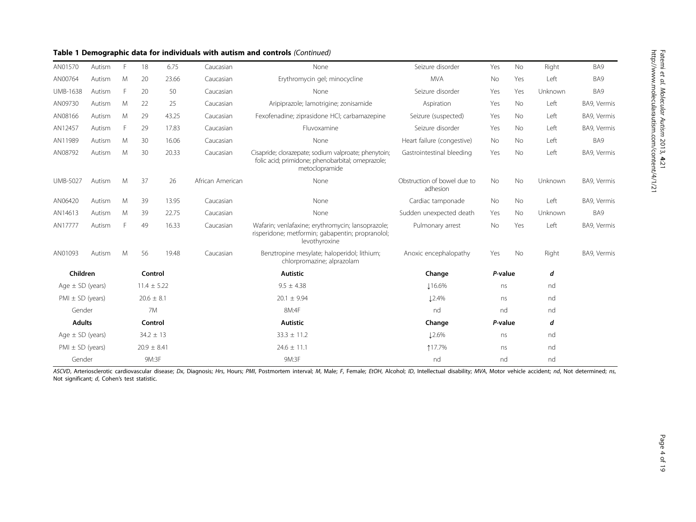# Table 1 Demographic data for individuals with autism and controls (Continued)

| AN01570              | Autism               | E               | 18              | 6.75  | Caucasian        | None                                                                                                                        | Seizure disorder                        | Yes       | No        | Right   | BA9         |
|----------------------|----------------------|-----------------|-----------------|-------|------------------|-----------------------------------------------------------------------------------------------------------------------------|-----------------------------------------|-----------|-----------|---------|-------------|
| AN00764              | Autism               | M               | 20              | 23.66 | Caucasian        | Erythromycin gel; minocycline                                                                                               | <b>MVA</b>                              | No        | Yes       | Left    | BA9         |
| <b>UMB-1638</b>      | Autism               | E               | 20              | 50    | Caucasian        | None                                                                                                                        | Seizure disorder                        | Yes       | Yes       | Unknown | BA9         |
| AN09730              | Autism               | M               | 22              | 25    | Caucasian        | Aripiprazole; lamotrigine; zonisamide                                                                                       | Aspiration                              | Yes       | No        | Left    | BA9, Vermis |
| AN08166              | Autism               | M               | 29              | 43.25 | Caucasian        | Fexofenadine; ziprasidone HCI; carbamazepine                                                                                | Seizure (suspected)                     | Yes       | No        | Left    | BA9, Vermis |
| AN12457              | Autism               | Е               | 29              | 17.83 | Caucasian        | Fluvoxamine                                                                                                                 | Seizure disorder                        | Yes       | <b>No</b> | Left    | BA9, Vermis |
| AN11989              | Autism               | M               | 30              | 16.06 | Caucasian        | None                                                                                                                        | Heart failure (congestive)              | No        | No        | Left    | BA9         |
| AN08792              | Autism               | M               | 30              | 20.33 | Caucasian        | Cisapride; clorazepate; sodium valproate; phenytoin;<br>folic acid; primidone; phenobarbital; omeprazole;<br>metoclopramide | Gastrointestinal bleeding               | Yes       | <b>No</b> | Left    | BA9, Vermis |
| <b>UMB-5027</b>      | Autism               | M               | 37              | 26    | African American | None                                                                                                                        | Obstruction of bowel due to<br>adhesion | <b>No</b> | No        | Unknown | BA9, Vermis |
| AN06420              | Autism               | M               | 39              | 13.95 | Caucasian        | None                                                                                                                        | Cardiac tamponade                       | No        | No        | Left    | BA9, Vermis |
| AN14613              | Autism               | M               | 39              | 22.75 | Caucasian        | None                                                                                                                        | Sudden unexpected death                 | Yes       | No        | Unknown | BA9         |
| AN17777              | Autism               | E               | 49              | 16.33 | Caucasian        | Wafarin; venlafaxine; erythromycin; lansoprazole;<br>risperidone; metformin; gabapentin; propranolol;<br>levothyroxine      | Pulmonary arrest                        | No        | Yes       | Left    | BA9, Vermis |
| AN01093              | Autism               | M               | 56              | 19.48 | Caucasian        | Benztropine mesylate; haloperidol; lithium;<br>chlorpromazine; alprazolam                                                   | Anoxic encephalopathy                   | Yes       | No        | Right   | BA9, Vermis |
| Children             |                      |                 | Control         |       |                  | <b>Autistic</b>                                                                                                             | Change                                  | P-value   |           | d       |             |
| Age $\pm$ SD (years) |                      | $11.4 \pm 5.22$ |                 |       | $9.5 \pm 4.38$   | <b>116.6%</b>                                                                                                               | ns                                      |           | nd        |         |             |
| $PMI \pm SD$ (years) |                      |                 | $20.6 \pm 8.1$  |       |                  | $20.1 \pm 9.94$                                                                                                             | <b>12.4%</b>                            | ns        |           | nd      |             |
|                      | Gender               |                 | 7M              |       |                  | 8M:4F                                                                                                                       | nd                                      | nd        |           | nd      |             |
| <b>Adults</b>        |                      |                 | Control         |       |                  | <b>Autistic</b>                                                                                                             | P-value<br>Change                       |           | d         |         |             |
|                      | Age $\pm$ SD (years) |                 | $34.2 \pm 13$   |       |                  | $33.3 \pm 11.2$                                                                                                             | 12.6%                                   | ns        |           | nd      |             |
| $PMI \pm SD$ (years) |                      |                 | $20.9 \pm 8.41$ |       |                  | $24.6 \pm 11.1$                                                                                                             | 117.7%                                  | ns        |           | nd      |             |
| Gender               |                      |                 | 9M:3F           |       |                  | 9M:3F                                                                                                                       | nd                                      | nd        |           | nd      |             |

ASCVD, Arteriosclerotic cardiovascular disease; Dx, Diagnosis; Hrs, Hours; PMI, Postmortem interval; M, Male; F, Female; EtOH, Alcohol; ID, Intellectual disability; MVA, Motor vehicle accident; nd, Not determined; ns, Not significant; d, Cohen's test statistic.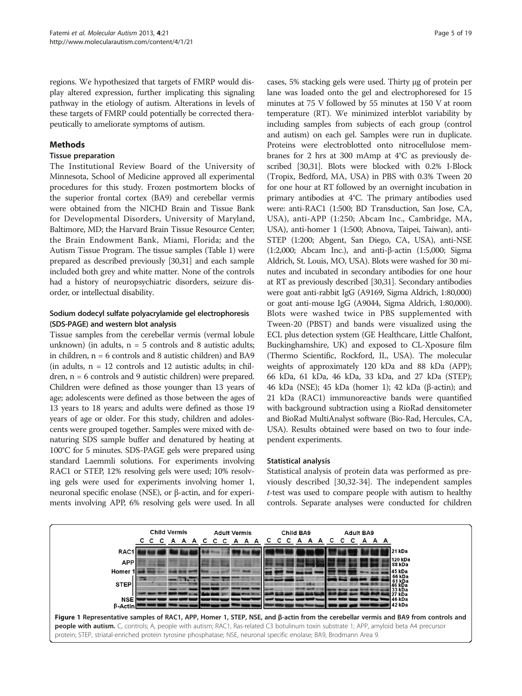<span id="page-4-0"></span>regions. We hypothesized that targets of FMRP would display altered expression, further implicating this signaling pathway in the etiology of autism. Alterations in levels of these targets of FMRP could potentially be corrected therapeutically to ameliorate symptoms of autism.

# Methods

# Tissue preparation

The Institutional Review Board of the University of Minnesota, School of Medicine approved all experimental procedures for this study. Frozen postmortem blocks of the superior frontal cortex (BA9) and cerebellar vermis were obtained from the NICHD Brain and Tissue Bank for Developmental Disorders, University of Maryland, Baltimore, MD; the Harvard Brain Tissue Resource Center; the Brain Endowment Bank, Miami, Florida; and the Autism Tissue Program. The tissue samples (Table [1\)](#page-2-0) were prepared as described previously [\[30,31](#page-17-0)] and each sample included both grey and white matter. None of the controls had a history of neuropsychiatric disorders, seizure disorder, or intellectual disability.

# Sodium dodecyl sulfate polyacrylamide gel electrophoresis (SDS-PAGE) and western blot analysis

Tissue samples from the cerebellar vermis (vermal lobule unknown) (in adults,  $n = 5$  controls and 8 autistic adults; in children, n = 6 controls and 8 autistic children) and BA9 (in adults,  $n = 12$  controls and 12 autistic adults; in children, n = 6 controls and 9 autistic children) were prepared. Children were defined as those younger than 13 years of age; adolescents were defined as those between the ages of 13 years to 18 years; and adults were defined as those 19 years of age or older. For this study, children and adolescents were grouped together. Samples were mixed with denaturing SDS sample buffer and denatured by heating at 100°C for 5 minutes. SDS-PAGE gels were prepared using standard Laemmli solutions. For experiments involving RAC1 or STEP, 12% resolving gels were used; 10% resolving gels were used for experiments involving homer 1, neuronal specific enolase (NSE), or β-actin, and for experiments involving APP, 6% resolving gels were used. In all

cases, 5% stacking gels were used. Thirty μg of protein per lane was loaded onto the gel and electrophoresed for 15 minutes at 75 V followed by 55 minutes at 150 V at room temperature (RT). We minimized interblot variability by including samples from subjects of each group (control and autism) on each gel. Samples were run in duplicate. Proteins were electroblotted onto nitrocellulose membranes for 2 hrs at 300 mAmp at 4°C as previously described [\[30,31](#page-17-0)]. Blots were blocked with 0.2% I-Block (Tropix, Bedford, MA, USA) in PBS with 0.3% Tween 20 for one hour at RT followed by an overnight incubation in primary antibodies at 4°C. The primary antibodies used were: anti-RAC1 (1:500; BD Transduction, San Jose, CA, USA), anti-APP (1:250; Abcam Inc., Cambridge, MA, USA), anti-homer 1 (1:500; Abnova, Taipei, Taiwan), anti-STEP (1:200; Abgent, San Diego, CA, USA), anti-NSE (1:2,000; Abcam Inc.), and anti-β-actin (1:5,000; Sigma Aldrich, St. Louis, MO, USA). Blots were washed for 30 minutes and incubated in secondary antibodies for one hour at RT as previously described [\[30,31](#page-17-0)]. Secondary antibodies were goat anti-rabbit IgG (A9169, Sigma Aldrich, 1:80,000) or goat anti-mouse IgG (A9044, Sigma Aldrich, 1:80,000). Blots were washed twice in PBS supplemented with Tween-20 (PBST) and bands were visualized using the ECL plus detection system (GE Healthcare, Little Chalfont, Buckinghamshire, UK) and exposed to CL-Xposure film (Thermo Scientific, Rockford, IL, USA). The molecular weights of approximately 120 kDa and 88 kDa (APP); 66 kDa, 61 kDa, 46 kDa, 33 kDa, and 27 kDa (STEP); 46 kDa (NSE); 45 kDa (homer 1); 42 kDa (β-actin); and 21 kDa (RAC1) immunoreactive bands were quantified with background subtraction using a RioRad densitometer and BioRad MultiAnalyst software (Bio-Rad, Hercules, CA, USA). Results obtained were based on two to four independent experiments.

### Statistical analysis

Statistical analysis of protein data was performed as previously described [\[30,32](#page-17-0)-[34\]](#page-17-0). The independent samples t-test was used to compare people with autism to healthy controls. Separate analyses were conducted for children

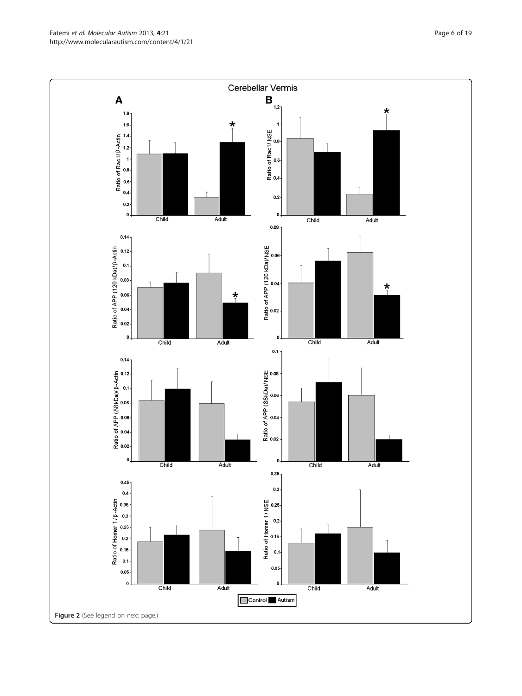Fatemi et al. Molecular Autism 2013, 4:21 **Page 6 of 19** Page 6 of 19 http://www.molecularautism.com/content/4/1/21

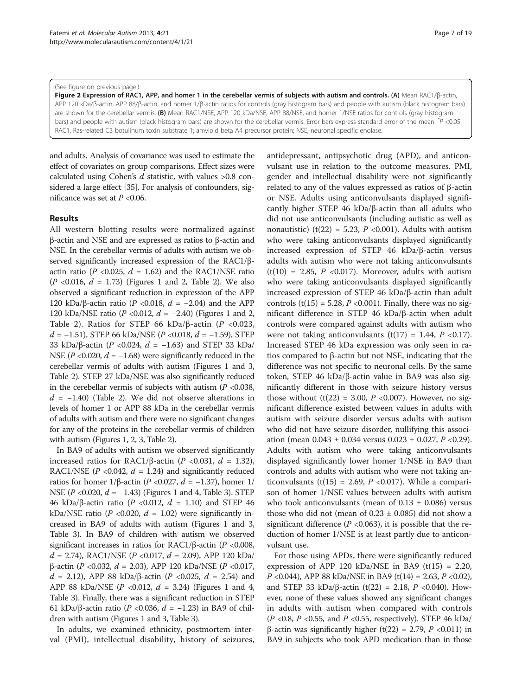#### (See figure on previous page.)

Figure 2 Expression of RAC1, APP, and homer 1 in the cerebellar vermis of subjects with autism and controls. (A) Mean RAC1/β-actin, APP 120 kDa/β-actin, APP 88/β-actin, and homer 1/β-actin ratios for controls (gray histogram bars) and people with autism (black histogram bars) are shown for the cerebellar vermis. (B) Mean RAC1/NSE, APP 120 kDa/NSE, APP 88/NSE, and homer 1/NSE ratios for controls (gray histogram bars) and people with autism (black histogram bars) are shown for the cerebellar vermis. Error bars express standard error of the mean.  $^{*}P$  <0.05 RAC1, Ras-related C3 botulinum toxin substrate 1; amyloid beta A4 precursor protein; NSE, neuronal specific enolase.

and adults. Analysis of covariance was used to estimate the effect of covariates on group comparisons. Effect sizes were calculated using Cohen's  $d$  statistic, with values >0.8 considered a large effect [\[35\]](#page-17-0). For analysis of confounders, significance was set at  $P < 0.06$ .

### Results

All western blotting results were normalized against β-actin and NSE and are expressed as ratios to β-actin and NSE. In the cerebellar vermis of adults with autism we observed significantly increased expression of the RAC1/βactin ratio ( $P \le 0.025$ ,  $d = 1.62$ ) and the RAC1/NSE ratio  $(P \le 0.016, d = 1.73)$  $(P \le 0.016, d = 1.73)$  $(P \le 0.016, d = 1.73)$  (Figures 1 and 2, Table [2\)](#page-7-0). We also observed a significant reduction in expression of the APP 120 kDa/β-actin ratio (P < 0.018,  $d = -2.04$ ) and the APP 120 kDa/NSE ratio ( $P < 0.012$ ,  $d = -2.40$ ) (Figures [1](#page-4-0) and 2, Table [2\)](#page-7-0). Ratios for STEP 66 kDa/ $\beta$ -actin (P <0.023,  $d = -1.51$ ), STEP 66 kDa/NSE (P <0.018,  $d = -1.59$ ), STEP 33 kDa/β-actin (P < 0.024,  $d = -1.63$ ) and STEP 33 kDa/ NSE ( $P$  <0.020,  $d = -1.68$ ) were significantly reduced in the cerebellar vermis of adults with autism (Figures [1](#page-4-0) and [3](#page-10-0), Table [2\)](#page-7-0). STEP 27 kDa/NSE was also significantly reduced in the cerebellar vermis of subjects with autism  $(P \le 0.038$ ,  $d = -1.40$ ) (Table [2\)](#page-7-0). We did not observe alterations in levels of homer 1 or APP 88 kDa in the cerebellar vermis of adults with autism and there were no significant changes for any of the proteins in the cerebellar vermis of children with autism (Figures [1,](#page-4-0) 2, [3,](#page-10-0) Table [2](#page-7-0)).

In BA9 of adults with autism we observed significantly increased ratios for RAC1/β-actin (P <0.031,  $d = 1.32$ ), RAC1/NSE ( $P$  <0.042,  $d = 1.24$ ) and significantly reduced ratios for homer 1/β-actin (P <0.027, d = −1.37), homer 1/ NSE ( $P < 0.020$ ,  $d = -1.43$ ) (Figures [1](#page-4-0) and [4](#page-12-0), Table [3\)](#page-13-0). STEP 46 kDa/β-actin ratio (P <0.012,  $d = 1.10$ ) and STEP 46 kDa/NSE ratio (P < 0.020,  $d = 1.02$ ) were significantly increased in BA9 of adults with autism (Figures [1](#page-4-0) and [3](#page-10-0), Table [3\)](#page-13-0). In BA9 of children with autism we observed significant increases in ratios for RAC1/β-actin ( $P$  <0.008,  $d = 2.74$ ), RAC1/NSE (P < 0.017,  $d = 2.09$ ), APP 120 kDa β-actin (P < 0.032,  $d = 2.03$ ), APP 120 kDa/NSE (P < 0.017,  $d = 2.12$ ), APP 88 kDa/β-actin (P <0.025,  $d = 2.54$ ) and APP 88 kDa/NSE ( $P$  <0.012,  $d = 3.24$ ) (Figures [1](#page-4-0) and [4](#page-12-0), Table [3\)](#page-13-0). Finally, there was a significant reduction in STEP 61 kDa/β-actin ratio (P < 0.036,  $d = -1.23$ ) in BA9 of children with autism (Figures [1](#page-4-0) and [3](#page-10-0), Table [3\)](#page-13-0).

In adults, we examined ethnicity, postmortem interval (PMI), intellectual disability, history of seizures, antidepressant, antipsychotic drug (APD), and anticonvulsant use in relation to the outcome measures. PMI, gender and intellectual disability were not significantly related to any of the values expressed as ratios of β-actin or NSE. Adults using anticonvulsants displayed significantly higher STEP 46 kDa/β-actin than all adults who did not use anticonvulsants (including autistic as well as nonautistic) (t(22) = 5.23,  $P$  <0.001). Adults with autism who were taking anticonvulsants displayed significantly increased expression of STEP 46 kDa/β-actin versus adults with autism who were not taking anticonvulsants  $(t(10) = 2.85, P < 0.017)$ . Moreover, adults with autism who were taking anticonvulsants displayed significantly increased expression of STEP 46 kDa/β-actin than adult controls  $(t(15) = 5.28, P < 0.001)$ . Finally, there was no significant difference in STEP 46 kDa/β-actin when adult controls were compared against adults with autism who were not taking anticonvulsants (t(17) = 1.44,  $P$  <0.17). Increased STEP 46 kDa expression was only seen in ratios compared to β-actin but not NSE, indicating that the difference was not specific to neuronal cells. By the same token, STEP 46 kDa/β-actin value in BA9 was also significantly different in those with seizure history versus those without  $(t(22) = 3.00, P < 0.007)$ . However, no significant difference existed between values in adults with autism with seizure disorder versus adults with autism who did not have seizure disorder, nullifying this association (mean  $0.043 \pm 0.034$  versus  $0.023 \pm 0.027$ ,  $P < 0.29$ ). Adults with autism who were taking anticonvulsants displayed significantly lower homer 1/NSE in BA9 than controls and adults with autism who were not taking anticonvulsants (t(15) = 2.69,  $P$  <0.017). While a comparison of homer 1/NSE values between adults with autism who took anticonvulsants (mean of  $0.13 \pm 0.086$ ) versus those who did not (mean of  $0.23 \pm 0.085$ ) did not show a significant difference ( $P \lt 0.063$ ), it is possible that the reduction of homer 1/NSE is at least partly due to anticonvulsant use.

For those using APDs, there were significantly reduced expression of APP 120 kDa/NSE in BA9 (t(15) = 2.20, *P* <0.044), APP 88 kDa/NSE in BA9 (t(14) = 2.63, *P* <0.02), and STEP 33 kDa/β-actin (t(22) = 2.18, *P* <0.040). However, none of these values showed any significant changes in adults with autism when compared with controls  $(P \langle 0.8, P \langle 0.55, \text{ and } P \langle 0.55, \text{ respectively})$ . STEP 46 kDa/ β-actin was significantly higher (t(22) = 2.79,  $P$  <0.011) in BA9 in subjects who took APD medication than in those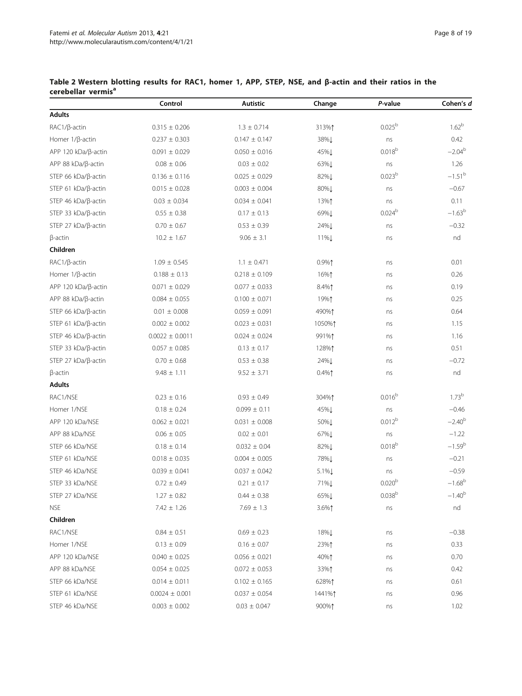|                        | Control             | Autistic          | Change           | P-value            | Cohen's d   |
|------------------------|---------------------|-------------------|------------------|--------------------|-------------|
| <b>Adults</b>          |                     |                   |                  |                    |             |
| RAC1/ß-actin           | $0.315 \pm 0.206$   | $1.3 \pm 0.714$   | 313%↑            | $0.025^{b}$        | $1.62^{b}$  |
| Homer 1/ß-actin        | $0.237 \pm 0.303$   | $0.147 \pm 0.147$ | 38%1             | ns                 | 0.42        |
| APP 120 kDa/β-actin    | $0.091 \pm 0.029$   | $0.050 \pm 0.016$ | 45% <sub>L</sub> | 0.018 <sup>b</sup> | $-2.04^{b}$ |
| APP 88 kDa/β-actin     | $0.08 \pm 0.06$     | $0.03 \pm 0.02$   | 63%1             | ns                 | 1.26        |
| STEP 66 kDa/ß-actin    | $0.136 \pm 0.116$   | $0.025 \pm 0.029$ | 82%1             | 0.023 <sup>b</sup> | $-1.51^{b}$ |
| STEP 61 kDa/ß-actin    | $0.015 \pm 0.028$   | $0.003 \pm 0.004$ | 80%Į             | ns                 | $-0.67$     |
| STEP 46 kDa/β-actin    | $0.03 \pm 0.034$    | $0.034 \pm 0.041$ | 13%↑             | ns                 | 0.11        |
| STEP 33 kDa/β-actin    | $0.55 \pm 0.38$     | $0.17 \pm 0.13$   | 69%1             | $0.024^{b}$        | $-1.63^{b}$ |
| STEP 27 kDa/β-actin    | $0.70 \pm 0.67$     | $0.53 \pm 0.39$   | 24%L             | ns                 | $-0.32$     |
| $\beta$ -actin         | $10.2 \pm 1.67$     | $9.06 \pm 3.1$    | 11%L             | ns                 | nd          |
| Children               |                     |                   |                  |                    |             |
| RAC1/ß-actin           | $1.09 \pm 0.545$    | $1.1 \pm 0.471$   | $0.9\%$          | ns                 | 0.01        |
| Homer $1/\beta$ -actin | $0.188 \pm 0.13$    | $0.218 \pm 0.109$ | 16%↑             | ns                 | 0.26        |
| APP 120 kDa/ß-actin    | $0.071 \pm 0.029$   | $0.077 \pm 0.033$ | 8.4%1            | ns                 | 0.19        |
| $APP 88 kDa/B-actin$   | $0.084 \pm 0.055$   | $0.100 \pm 0.071$ | 19%↑             | ns                 | 0.25        |
| STEP 66 kDa/β-actin    | $0.01 \pm 0.008$    | $0.059 \pm 0.091$ | 490%↑            | ns                 | 0.64        |
| STEP 61 kDa/ß-actin    | $0.002 \pm 0.002$   | $0.023 \pm 0.031$ | 1050%↑           | ns                 | 1.15        |
| STEP 46 kDa/β-actin    | $0.0022 \pm 0.0011$ | $0.024 \pm 0.024$ | 991%1            | ns                 | 1.16        |
| STEP 33 kDa/β-actin    | $0.057 \pm 0.085$   | $0.13 \pm 0.17$   | 128%↑            | ns                 | 0.51        |
| STEP 27 kDa/β-actin    | $0.70 \pm 0.68$     | $0.53 \pm 0.38$   | 24%L             | ns                 | $-0.72$     |
| $\beta$ -actin         | $9.48 \pm 1.11$     | $9.52 \pm 3.71$   | $0.4\%$ ↑        | ns                 | nd          |
| <b>Adults</b>          |                     |                   |                  |                    |             |
| RAC1/NSE               | $0.23 \pm 0.16$     | $0.93 \pm 0.49$   | 304%↑            | 0.016 <sup>b</sup> | $1.73^{b}$  |
| Homer 1/NSE            | $0.18 \pm 0.24$     | $0.099 \pm 0.11$  | 45%↓             | ns                 | $-0.46$     |
| APP 120 kDa/NSE        | $0.062 \pm 0.021$   | $0.031 \pm 0.008$ | 50%↓             | 0.012 <sup>b</sup> | $-2.40^{b}$ |
| APP 88 kDa/NSE         | $0.06 \pm 0.05$     | $0.02 \pm 0.01$   | 67%1             | ns                 | $-1.22$     |
| STEP 66 kDa/NSE        | $0.18 \pm 0.14$     | $0.032 \pm 0.04$  | 82%↓             | 0.018 <sup>b</sup> | $-1.59^{b}$ |
| STEP 61 kDa/NSE        | $0.018 \pm 0.035$   | $0.004 \pm 0.005$ | 78%1             | ns                 | $-0.21$     |
| STEP 46 kDa/NSE        | $0.039 \pm 0.041$   | $0.037 \pm 0.042$ | 5.1%↓            | ns                 | $-0.59$     |
| STEP 33 kDa/NSE        | $0.72 \pm 0.49$     | $0.21 \pm 0.17$   | 71%↓             | 0.020 <sup>b</sup> | $-1.68^{b}$ |
| STEP 27 kDa/NSE        | $1.27 \pm 0.82$     | $0.44 \pm 0.38$   | 65%↓             | 0.038 <sup>b</sup> | $-1.40^{b}$ |
| <b>NSE</b>             | $7.42 \pm 1.26$     | $7.69 \pm 1.3$    | 3.6%↑            | ns                 | nd          |
| Children               |                     |                   |                  |                    |             |
| RAC1/NSE               | $0.84 \pm 0.51$     | $0.69 \pm 0.23$   | 18%↓             | ns                 | $-0.38$     |
| Homer 1/NSE            | $0.13 \pm 0.09$     | $0.16 \pm 0.07$   | 23%↑             | ns                 | 0.33        |
| APP 120 kDa/NSE        | $0.040 \pm 0.025$   | $0.056 \pm 0.021$ | 40%↑             | ns                 | 0.70        |
| APP 88 kDa/NSE         | $0.054 \pm 0.025$   | $0.072 \pm 0.053$ | 33%↑             | ns                 | 0.42        |
| STEP 66 kDa/NSE        | $0.014 \pm 0.011$   | $0.102 \pm 0.165$ | 628%↑            | ns                 | 0.61        |
| STEP 61 kDa/NSE        | $0.0024 \pm 0.001$  | $0.037 \pm 0.054$ | 1441%↑           | ns                 | 0.96        |
| STEP 46 kDa/NSE        | $0.003 \pm 0.002$   | $0.03 \pm 0.047$  | 900%↑            | ns                 | 1.02        |

# <span id="page-7-0"></span>Table 2 Western blotting results for RAC1, homer 1, APP, STEP, NSE, and β-actin and their ratios in the cerebellar vermis<sup>a</sup>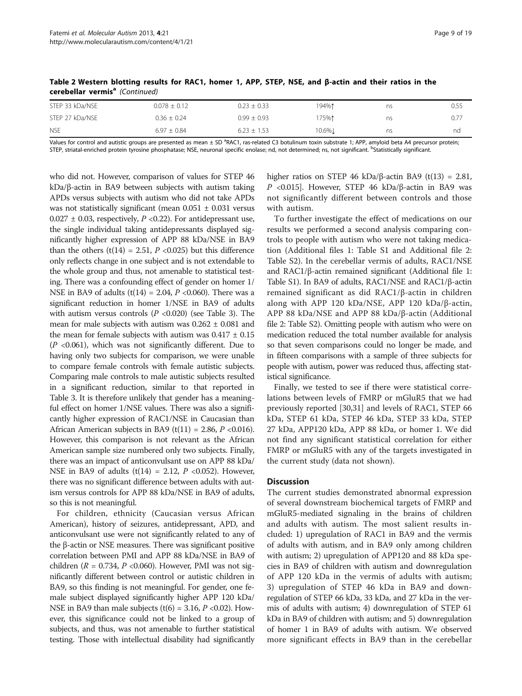| <b>NSE</b>      | $6.97 \pm 0.84$  | $6.23 \pm 1.53$ | 10.6%. | ns | nd   |
|-----------------|------------------|-----------------|--------|----|------|
| STEP 27 kDa/NSE | $0.36 \pm 0.24$  | $0.99 \pm 0.93$ | i75%↑  | ns | 0.77 |
| STEP 33 kDa/NSE | $0.078 \pm 0.12$ | $0.23 \pm 0.33$ | 194%↑  | ns | 0.55 |

Table 2 Western blotting results for RAC1, homer 1, APP, STEP, NSE, and β-actin and their ratios in the cerebellar vermis<sup>a</sup> (Continued)

Values for control and autistic groups are presented as mean ± SD <sup>a</sup>RAC1, ras-related C3 botulinum toxin substrate 1; APP, amyloid beta A4 precursor protein; STEP, striatal-enriched protein tyrosine phosphatase; NSE, neuronal specific enolase; nd, not determined; ns, not significant. <sup>b</sup>Statistically significant.

who did not. However, comparison of values for STEP 46 kDa/β-actin in BA9 between subjects with autism taking APDs versus subjects with autism who did not take APDs was not statistically significant (mean  $0.051 \pm 0.031$  versus  $0.027 \pm 0.03$ , respectively, P < 0.22). For antidepressant use, the single individual taking antidepressants displayed significantly higher expression of APP 88 kDa/NSE in BA9 than the others  $(t(14) = 2.51, P < 0.025)$  but this difference only reflects change in one subject and is not extendable to the whole group and thus, not amenable to statistical testing. There was a confounding effect of gender on homer 1/ NSE in BA9 of adults (t(14) = 2.04,  $P$  <0.060). There was a significant reduction in homer 1/NSE in BA9 of adults with autism versus controls ( $P$  <0.020) (see Table [3\)](#page-13-0). The mean for male subjects with autism was  $0.262 \pm 0.081$  and the mean for female subjects with autism was  $0.417 \pm 0.15$  $(P \le 0.061)$ , which was not significantly different. Due to having only two subjects for comparison, we were unable to compare female controls with female autistic subjects. Comparing male controls to male autistic subjects resulted in a significant reduction, similar to that reported in Table [3.](#page-13-0) It is therefore unlikely that gender has a meaningful effect on homer 1/NSE values. There was also a significantly higher expression of RAC1/NSE in Caucasian than African American subjects in BA9 (t(11) = 2.86,  $P \le 0.016$ ). However, this comparison is not relevant as the African American sample size numbered only two subjects. Finally, there was an impact of anticonvulsant use on APP 88 kDa/ NSE in BA9 of adults (t(14) = 2.12,  $P$  <0.052). However, there was no significant difference between adults with autism versus controls for APP 88 kDa/NSE in BA9 of adults, so this is not meaningful.

For children, ethnicity (Caucasian versus African American), history of seizures, antidepressant, APD, and anticonvulsant use were not significantly related to any of the β-actin or NSE measures. There was significant positive correlation between PMI and APP 88 kDa/NSE in BA9 of children ( $R = 0.734$ ,  $P < 0.060$ ). However, PMI was not significantly different between control or autistic children in BA9, so this finding is not meaningful. For gender, one female subject displayed significantly higher APP 120 kDa/ NSE in BA9 than male subjects (t(6) = 3.16,  $P$  <0.02). However, this significance could not be linked to a group of subjects, and thus, was not amenable to further statistical testing. Those with intellectual disability had significantly higher ratios on STEP 46 kDa/β-actin BA9 (t(13) = 2.81, P <0.015]. However, STEP 46 kDa/β-actin in BA9 was not significantly different between controls and those with autism.

To further investigate the effect of medications on our results we performed a second analysis comparing controls to people with autism who were not taking medication (Additional files [1](#page-15-0): Table S1 and Additional file [2](#page-15-0): Table S2). In the cerebellar vermis of adults, RAC1/NSE and RAC1/β-actin remained significant (Additional file [1](#page-15-0): Table S1). In BA9 of adults, RAC1/NSE and RAC1/β-actin remained significant as did RAC1/β-actin in children along with APP 120 kDa/NSE, APP 120 kDa/β-actin, APP 88 kDa/NSE and APP 88 kDa/β-actin (Additional file [2:](#page-15-0) Table S2). Omitting people with autism who were on medication reduced the total number available for analysis so that seven comparisons could no longer be made, and in fifteen comparisons with a sample of three subjects for people with autism, power was reduced thus, affecting statistical significance.

Finally, we tested to see if there were statistical correlations between levels of FMRP or mGluR5 that we had previously reported [[30](#page-17-0),[31](#page-17-0)] and levels of RAC1, STEP 66 kDa, STEP 61 kDa, STEP 46 kDa, STEP 33 kDa, STEP 27 kDa, APP120 kDa, APP 88 kDa, or homer 1. We did not find any significant statistical correlation for either FMRP or mGluR5 with any of the targets investigated in the current study (data not shown).

### **Discussion**

The current studies demonstrated abnormal expression of several downstream biochemical targets of FMRP and mGluR5-mediated signaling in the brains of children and adults with autism. The most salient results included: 1) upregulation of RAC1 in BA9 and the vermis of adults with autism, and in BA9 only among children with autism; 2) upregulation of APP120 and 88 kDa species in BA9 of children with autism and downregulation of APP 120 kDa in the vermis of adults with autism; 3) upregulation of STEP 46 kDa in BA9 and downregulation of STEP 66 kDa, 33 kDa, and 27 kDa in the vermis of adults with autism; 4) downregulation of STEP 61 kDa in BA9 of children with autism; and 5) downregulation of homer 1 in BA9 of adults with autism. We observed more significant effects in BA9 than in the cerebellar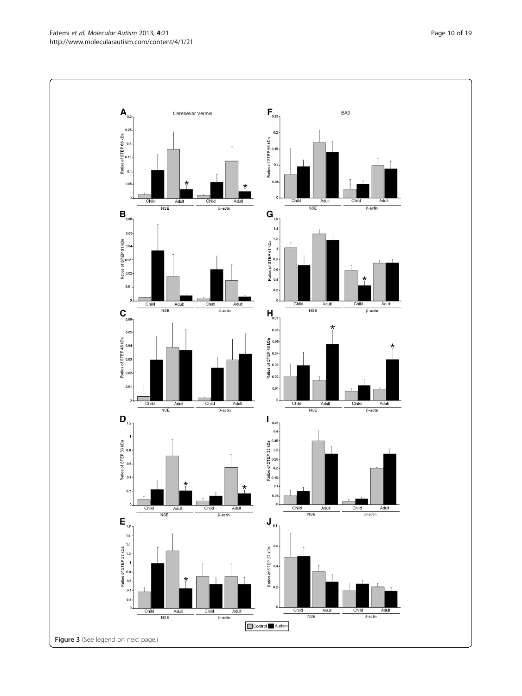Fatemi et al. Molecular Autism 2013, 4:21 **Page 10 of 19** Page 10 of 19 http://www.molecularautism.com/content/4/1/21

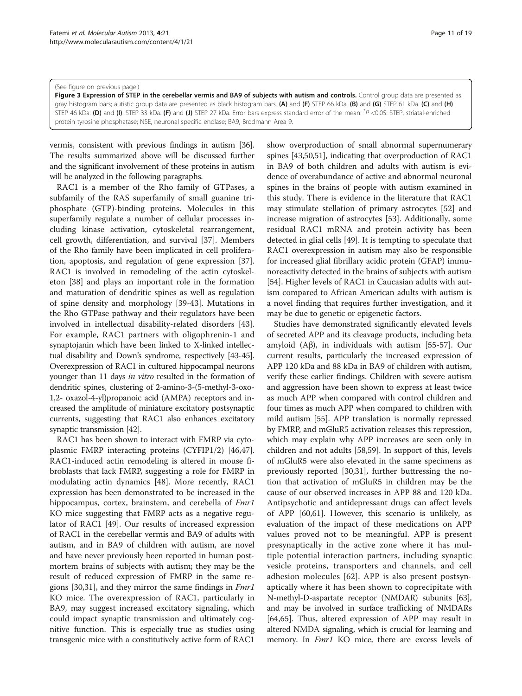<span id="page-10-0"></span>(See figure on previous page.)

Figure 3 Expression of STEP in the cerebellar vermis and BA9 of subjects with autism and controls. Control group data are presented as gray histogram bars; autistic group data are presented as black histogram bars. (A) and (F) STEP 66 kDa. (B) and (G) STEP 61 kDa. (C) and (H) STEP 46 kDa. (D) and (I). STEP 33 kDa. (F) and (J) STEP 27 kDa. Error bars express standard error of the mean.  $P < 0.05$ . STEP, striatal-enriched protein tyrosine phosphatase; NSE, neuronal specific enolase; BA9, Brodmann Area 9.

vermis, consistent with previous findings in autism [[36](#page-17-0)]. The results summarized above will be discussed further and the significant involvement of these proteins in autism will be analyzed in the following paragraphs.

RAC1 is a member of the Rho family of GTPases, a subfamily of the RAS superfamily of small guanine triphosphate (GTP)-binding proteins. Molecules in this superfamily regulate a number of cellular processes including kinase activation, cytoskeletal rearrangement, cell growth, differentiation, and survival [\[37](#page-17-0)]. Members of the Rho family have been implicated in cell proliferation, apoptosis, and regulation of gene expression [\[37](#page-17-0)]. RAC1 is involved in remodeling of the actin cytoskeleton [\[38\]](#page-17-0) and plays an important role in the formation and maturation of dendritic spines as well as regulation of spine density and morphology [[39](#page-17-0)-[43\]](#page-17-0). Mutations in the Rho GTPase pathway and their regulators have been involved in intellectual disability-related disorders [\[43](#page-17-0)]. For example, RAC1 partners with oligophrenin-1 and synaptojanin which have been linked to X-linked intellectual disability and Down's syndrome, respectively [\[43](#page-17-0)-[45](#page-17-0)]. Overexpression of RAC1 in cultured hippocampal neurons younger than 11 days in vitro resulted in the formation of dendritic spines, clustering of 2-amino-3-(5-methyl-3-oxo-1,2- oxazol-4-yl)propanoic acid (AMPA) receptors and increased the amplitude of miniature excitatory postsynaptic currents, suggesting that RAC1 also enhances excitatory synaptic transmission [\[42\]](#page-17-0).

RAC1 has been shown to interact with FMRP via cytoplasmic FMRP interacting proteins (CYFIP1/2) [\[46,47](#page-17-0)]. RAC1-induced actin remodeling is altered in mouse fibroblasts that lack FMRP, suggesting a role for FMRP in modulating actin dynamics [\[48](#page-17-0)]. More recently, RAC1 expression has been demonstrated to be increased in the hippocampus, cortex, brainstem, and cerebella of Fmr1 KO mice suggesting that FMRP acts as a negative regulator of RAC1 [\[49\]](#page-17-0). Our results of increased expression of RAC1 in the cerebellar vermis and BA9 of adults with autism, and in BA9 of children with autism, are novel and have never previously been reported in human postmortem brains of subjects with autism; they may be the result of reduced expression of FMRP in the same re-gions [\[30,31](#page-17-0)], and they mirror the same findings in *Fmr1* KO mice. The overexpression of RAC1, particularly in BA9, may suggest increased excitatory signaling, which could impact synaptic transmission and ultimately cognitive function. This is especially true as studies using transgenic mice with a constitutively active form of RAC1

show overproduction of small abnormal supernumerary spines [[43,50,51\]](#page-17-0), indicating that overproduction of RAC1 in BA9 of both children and adults with autism is evidence of overabundance of active and abnormal neuronal spines in the brains of people with autism examined in this study. There is evidence in the literature that RAC1 may stimulate stellation of primary astrocytes [\[52\]](#page-17-0) and increase migration of astrocytes [[53\]](#page-17-0). Additionally, some residual RAC1 mRNA and protein activity has been detected in glial cells [[49](#page-17-0)]. It is tempting to speculate that RAC1 overexpression in autism may also be responsible for increased glial fibrillary acidic protein (GFAP) immunoreactivity detected in the brains of subjects with autism [[54\]](#page-17-0). Higher levels of RAC1 in Caucasian adults with autism compared to African American adults with autism is a novel finding that requires further investigation, and it may be due to genetic or epigenetic factors.

Studies have demonstrated significantly elevated levels of secreted APP and its cleavage products, including beta amyloid (Aβ), in individuals with autism [\[55](#page-17-0)-[57\]](#page-17-0). Our current results, particularly the increased expression of APP 120 kDa and 88 kDa in BA9 of children with autism, verify these earlier findings. Children with severe autism and aggression have been shown to express at least twice as much APP when compared with control children and four times as much APP when compared to children with mild autism [\[55](#page-17-0)]. APP translation is normally repressed by FMRP, and mGluR5 activation releases this repression, which may explain why APP increases are seen only in children and not adults [[58](#page-17-0),[59](#page-17-0)]. In support of this, levels of mGluR5 were also elevated in the same specimens as previously reported [\[30,31\]](#page-17-0), further buttressing the notion that activation of mGluR5 in children may be the cause of our observed increases in APP 88 and 120 kDa. Antipsychotic and antidepressant drugs can affect levels of APP [\[60,61](#page-17-0)]. However, this scenario is unlikely, as evaluation of the impact of these medications on APP values proved not to be meaningful. APP is present presynaptically in the active zone where it has multiple potential interaction partners, including synaptic vesicle proteins, transporters and channels, and cell adhesion molecules [\[62](#page-17-0)]. APP is also present postsynaptically where it has been shown to coprecipitate with N-methyl-D-aspartate receptor (NMDAR) subunits [[63](#page-17-0)], and may be involved in surface trafficking of NMDARs [[64,65\]](#page-17-0). Thus, altered expression of APP may result in altered NMDA signaling, which is crucial for learning and memory. In *Fmr1* KO mice, there are excess levels of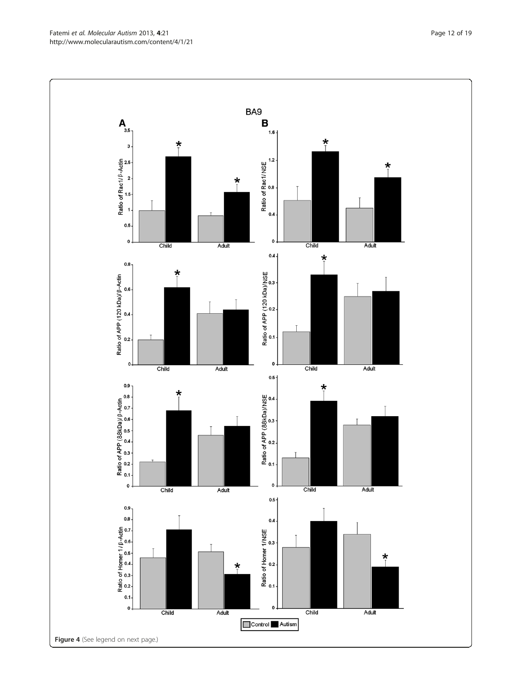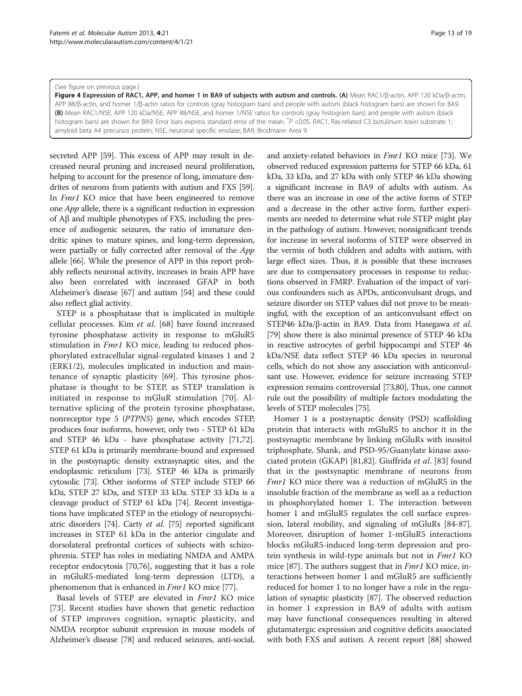#### <span id="page-12-0"></span>(See figure on previous page.)

Figure 4 Expression of RAC1, APP, and homer 1 in BA9 of subjects with autism and controls. (A) Mean RAC1/β-actin, APP 120 kDa/β-actin, APP 88/β-actin, and homer 1/β-actin ratios for controls (gray histogram bars) and people with autism (black histogram bars) are shown for BA9. (B) Mean RAC1/NSE, APP 120 kDa/NSE, APP 88/NSE, and homer 1/NSE ratios for controls (gray histogram bars) and people with autism (black histogram bars) are shown for BA9. Error bars express standard error of the mean. <sup>\*</sup>P <0.05. RAC1, Ras-related C3 botulinum toxin substrate 1; amyloid beta A4 precursor protein; NSE, neuronal specific enolase; BA9, Brodmann Area 9.

secreted APP [[59](#page-17-0)]. This excess of APP may result in decreased neural pruning and increased neural proliferation, helping to account for the presence of long, immature dendrites of neurons from patients with autism and FXS [\[59](#page-17-0)]. In *Fmr1* KO mice that have been engineered to remove one App allele, there is a significant reduction in expression of Aβ and multiple phenotypes of FXS, including the presence of audiogenic seizures, the ratio of immature dendritic spines to mature spines, and long-term depression, were partially or fully corrected after removal of the App allele [[66](#page-17-0)]. While the presence of APP in this report probably reflects neuronal activity, increases in brain APP have also been correlated with increased GFAP in both Alzheimer's disease [\[67\]](#page-17-0) and autism [\[54\]](#page-17-0) and these could also reflect glial activity.

STEP is a phosphatase that is implicated in multiple cellular processes. Kim et al. [[68\]](#page-17-0) have found increased tyrosine phosphatase activity in response to mGluR5 stimulation in *Fmr1* KO mice, leading to reduced phosphorylated extracellular signal-regulated kinases 1 and 2 (ERK1/2), molecules implicated in induction and maintenance of synaptic plasticity [[69\]](#page-17-0). This tyrosine phosphatase is thought to be STEP, as STEP translation is initiated in response to mGluR stimulation [\[70\]](#page-17-0). Alternative splicing of the protein tyrosine phosphatase, nonreceptor type 5 (PTPN5) gene, which encodes STEP, produces four isoforms, however, only two - STEP 61 kDa and STEP 46 kDa - have phosphatase activity [\[71,](#page-17-0)[72](#page-18-0)]. STEP 61 kDa is primarily membrane-bound and expressed in the postsynaptic density extrasynaptic sites, and the endoplasmic reticulum [[73](#page-18-0)]. STEP 46 kDa is primarily cytosolic [\[73\]](#page-18-0). Other isoforms of STEP include STEP 66 kDa, STEP 27 kDa, and STEP 33 kDa. STEP 33 kDa is a cleavage product of STEP 61 kDa [\[74\]](#page-18-0). Recent investigations have implicated STEP in the etiology of neuropsychiatric disorders [\[74](#page-18-0)]. Carty et al. [\[75\]](#page-18-0) reported significant increases in STEP 61 kDa in the anterior cingulate and dorsolateral prefrontal cortices of subjects with schizophrenia. STEP has roles in mediating NMDA and AMPA receptor endocytosis [[70](#page-17-0)[,76](#page-18-0)], suggesting that it has a role in mGluR5-mediated long-term depression (LTD), a phenomenon that is enhanced in *Fmr1* KO mice [[77](#page-18-0)].

Basal levels of STEP are elevated in Fmr1 KO mice [[73\]](#page-18-0). Recent studies have shown that genetic reduction of STEP improves cognition, synaptic plasticity, and NMDA receptor subunit expression in mouse models of Alzheimer's disease [\[78](#page-18-0)] and reduced seizures, anti-social, and anxiety-related behaviors in Fmr1 KO mice [\[73\]](#page-18-0). We observed reduced expression patterns for STEP 66 kDa, 61 kDa, 33 kDa, and 27 kDa with only STEP 46 kDa showing a significant increase in BA9 of adults with autism. As there was an increase in one of the active forms of STEP and a decrease in the other active form, further experiments are needed to determine what role STEP might play in the pathology of autism. However, nonsignificant trends for increase in several isoforms of STEP were observed in the vermis of both children and adults with autism, with large effect sizes. Thus, it is possible that these increases are due to compensatory processes in response to reductions observed in FMRP. Evaluation of the impact of various confounders such as APDs, anticonvulsant drugs, and seizure disorder on STEP values did not prove to be meaningful, with the exception of an anticonvulsant effect on STEP46 kDa/β-actin in BA9. Data from Hasegawa et al. [[79](#page-18-0)] show there is also minimal presence of STEP 46 kDa in reactive astrocytes of gerbil hippocampi and STEP 46 kDa/NSE data reflect STEP 46 kDa species in neuronal cells, which do not show any association with anticonvulsant use. However, evidence for seizure increasing STEP expression remains controversial [\[73,80](#page-18-0)], Thus, one cannot rule out the possibility of multiple factors modulating the levels of STEP molecules [[75](#page-18-0)].

Homer 1 is a postsynaptic density (PSD) scaffolding protein that interacts with mGluR5 to anchor it in the postsynaptic membrane by linking mGluRs with inositol triphosphate, Shank, and PSD-95/Guanylate kinase associated protein (GKAP) [[81,82\]](#page-18-0). Giuffrida et al. [[83\]](#page-18-0) found that in the postsynaptic membrane of neurons from Fmr1 KO mice there was a reduction of mGluR5 in the insoluble fraction of the membrane as well as a reduction in phosphorylated homer 1. The interaction between homer 1 and mGluR5 regulates the cell surface expression, lateral mobility, and signaling of mGluRs [\[84-87](#page-18-0)]. Moreover, disruption of homer 1-mGluR5 interactions blocks mGluR5-induced long-term depression and protein synthesis in wild-type animals but not in *Fmr1* KO mice [[87\]](#page-18-0). The authors suggest that in *Fmr1* KO mice, interactions between homer 1 and mGluR5 are sufficiently reduced for homer 1 to no longer have a role in the regulation of synaptic plasticity [[87\]](#page-18-0). The observed reduction in homer 1 expression in BA9 of adults with autism may have functional consequences resulting in altered glutamatergic expression and cognitive deficits associated with both FXS and autism. A recent report [\[88](#page-18-0)] showed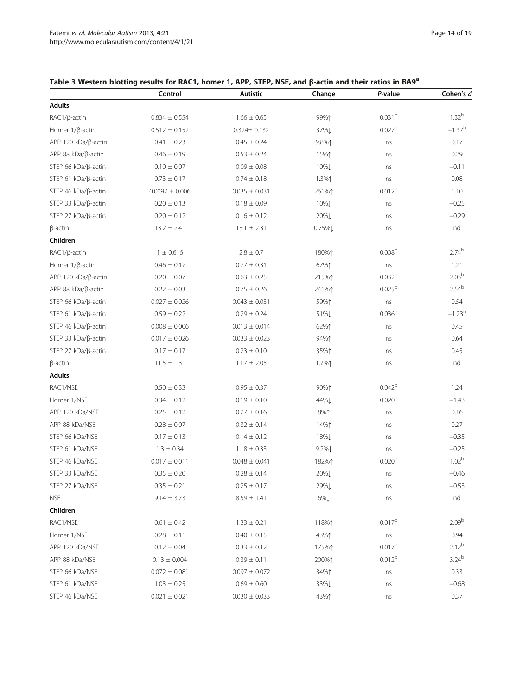# <span id="page-13-0"></span>Table 3 Western blotting results for RAC1, homer 1, APP, STEP, NSE, and β-actin and their ratios in BA9<sup>a</sup>

|                        | Control            | <b>Autistic</b>   | Change      | P-value            | Cohen's d         |
|------------------------|--------------------|-------------------|-------------|--------------------|-------------------|
| <b>Adults</b>          |                    |                   |             |                    |                   |
| RAC1/ß-actin           | $0.834 \pm 0.554$  | $1.66 \pm 0.65$   | 99%1        | 0.031 <sup>b</sup> | $1.32^{b}$        |
| Homer 1/ß-actin        | $0.512 \pm 0.152$  | $0.324 \pm 0.132$ | 37%1        | 0.027 <sup>b</sup> | $-1.37^{b}$       |
| APP 120 kDa/β-actin    | $0.41 \pm 0.23$    | $0.45 \pm 0.24$   | 9.8%1       | ns                 | 0.17              |
| APP 88 kDa/β-actin     | $0.46 \pm 0.19$    | $0.53 \pm 0.24$   | 15%↑        | ns                 | 0.29              |
| STEP 66 kDa/β-actin    | $0.10 \pm 0.07$    | $0.09 \pm 0.08$   | 10%L        | ns                 | $-0.11$           |
| STEP 61 kDa/ß-actin    | $0.73 \pm 0.17$    | $0.74 \pm 0.18$   | $1.3\%$ ↑   | ns                 | 0.08              |
| STEP 46 $kDa/B$ -actin | $0.0097 \pm 0.006$ | $0.035 \pm 0.031$ | 261%1       | 0.012 <sup>b</sup> | 1.10              |
| STEP 33 kDa/β-actin    | $0.20 \pm 0.13$    | $0.18 \pm 0.09$   | 10%L        | ns                 | $-0.25$           |
| STEP 27 kDa/β-actin    | $0.20 \pm 0.12$    | $0.16 \pm 0.12$   | 20%↓        | ns                 | $-0.29$           |
| $\beta$ -actin         | $13.2 \pm 2.41$    | $13.1 \pm 2.31$   | $0.75\%$    | ns                 | nd                |
| Children               |                    |                   |             |                    |                   |
| RAC1/ß-actin           | $1 \pm 0.616$      | $2.8 \pm 0.7$     | 180%↑       | 0.008 <sup>b</sup> | $2.74^{b}$        |
| Homer $1/\beta$ -actin | $0.46 \pm 0.17$    | $0.77 \pm 0.31$   | 67%1        | ns                 | 1.21              |
| $APP 120 kDa/B-action$ | $0.20\,\pm\,0.07$  | $0.63 \pm 0.25$   | 215%↑       | 0.032 <sup>b</sup> | 2.03 <sup>b</sup> |
| APP 88 kDa/β-actin     | $0.22 \pm 0.03$    | $0.75 \pm 0.26$   | 241%1       | $0.025^{b}$        | 2.54 <sup>b</sup> |
| STEP 66 kDa/ß-actin    | $0.027 \pm 0.026$  | $0.043 \pm 0.031$ | 59%1        | ns                 | 0.54              |
| STEP 61 $kDa/B$ -actin | $0.59 \pm 0.22$    | $0.29 \pm 0.24$   | 51%L        | 0.036 <sup>b</sup> | $-1.23b$          |
| STEP 46 kDa/β-actin    | $0.008 \pm 0.006$  | $0.013 \pm 0.014$ | 62%1        | ns                 | 0.45              |
| STEP 33 $kDa/B$ -actin | $0.017 \pm 0.026$  | $0.033 \pm 0.023$ | 94%1        | ns                 | 0.64              |
| STEP 27 $kDa/B$ -actin | $0.17 \pm 0.17$    | $0.23 \pm 0.10$   | 35%1        | ns                 | 0.45              |
| $\beta$ -actin         | $11.5 \pm 1.31$    | $11.7 \pm 2.05$   | 1.7%↑       | ns                 | nd                |
| <b>Adults</b>          |                    |                   |             |                    |                   |
| RAC1/NSE               | $0.50 \pm 0.33$    | $0.95 \pm 0.37$   | 90%↑        | $0.042^{b}$        | 1.24              |
| Homer 1/NSE            | $0.34 \pm 0.12$    | $0.19 \pm 0.10$   | 44%1        | 0.020 <sup>b</sup> | $-1.43$           |
| APP 120 kDa/NSE        | $0.25 \pm 0.12$    | $0.27 \pm 0.16$   | 8%1         | ns                 | 0.16              |
| APP 88 kDa/NSE         | $0.28 \pm 0.07$    | $0.32 \pm 0.14$   | 14%↑        | ns                 | 0.27              |
| STEP 66 kDa/NSE        | $0.17 \pm 0.13$    | $0.14 \pm 0.12$   | 18%1        | ns                 | $-0.35$           |
| STEP 61 kDa/NSE        | $1.3 \pm 0.34$     | $1.18 \pm 0.33$   | 9.2%↓       | ns                 | $-0.25$           |
| STEP 46 kDa/NSE        | $0.017 \pm 0.011$  | $0.048 \pm 0.041$ | 182%↑       | 0.020 <sup>b</sup> | 1.02 <sup>b</sup> |
| STEP 33 kDa/NSE        | $0.35 \pm 0.20$    | $0.28 \pm 0.14$   | 20%↓        | ns                 | $-0.46$           |
| STEP 27 kDa/NSE        | $0.35 \pm 0.21$    | $0.25 \pm 0.17$   | 29%↓        | ns                 | $-0.53$           |
| <b>NSE</b>             | $9.14 \pm 3.73$    | $8.59 \pm 1.41$   | 6% <b>L</b> | ns                 | nd                |
| Children               |                    |                   |             |                    |                   |
| RAC1/NSE               | $0.61 \pm 0.42$    | $1.33 \pm 0.21$   | 118%↑       | 0.017 <sup>b</sup> | 2.09 <sup>b</sup> |
| Homer 1/NSE            | $0.28\,\pm\,0.11$  | $0.40 \pm 0.15$   | 43%↑        | ns                 | 0.94              |
| APP 120 kDa/NSE        | $0.12 \pm 0.04$    | $0.33 \pm 0.12$   | 175%↑       | 0.017 <sup>b</sup> | $2.12^{b}$        |
| APP 88 kDa/NSE         | $0.13 \pm 0.004$   | $0.39 \pm 0.11$   | 200%↑       | 0.012 <sup>b</sup> | $3.24^{b}$        |
| STEP 66 kDa/NSE        | $0.072 \pm 0.081$  | $0.097 \pm 0.072$ | 34%↑        | ns                 | 0.33              |
| STEP 61 kDa/NSE        | $1.03 \pm 0.25$    | $0.69 \pm 0.60$   | 33%Į        | ns                 | $-0.68$           |
| STEP 46 kDa/NSE        | $0.021 \pm 0.021$  | $0.030 \pm 0.033$ | 43%1        | ns                 | 0.37              |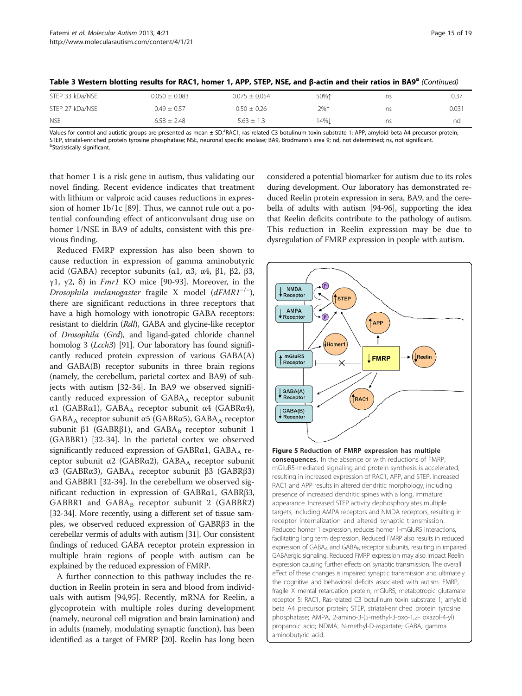| STEP 33 kDa/NSE | $0.050 \pm 0.083$ | $0.075 \pm 0.054$ | 50%↑  | ns | 0.37  |
|-----------------|-------------------|-------------------|-------|----|-------|
| STEP 27 kDa/NSE | $0.49 \pm 0.57$   | $0.50 \pm 0.26$   | 2%1   | ns | 0.031 |
| <b>NSE</b>      | $6.58 \pm 2.48$   | $5.63 \pm 1.3$    | 14%.L | ns | nd    |

<span id="page-14-0"></span>

| Table 3 Western blotting results for RAC1, homer 1, APP, STEP, NSE, and β-actin and their ratios in BA9ª (Continued) |  |
|----------------------------------------------------------------------------------------------------------------------|--|
|----------------------------------------------------------------------------------------------------------------------|--|

Values for control and autistic groups are presented as mean ± SD.<sup>a</sup>RAC1, ras-related C3 botulinum toxin substrate 1; APP, amyloid beta A4 precursor protein; STEP, striatal-enriched protein tyrosine phosphatase; NSE, neuronal specific enolase; BA9, Brodmann's area 9; nd, not determined; ns, not significant. <sup>b</sup> <sup>b</sup>Statistically significant.

that homer 1 is a risk gene in autism, thus validating our novel finding. Recent evidence indicates that treatment with lithium or valproic acid causes reductions in expression of homer 1b/1c [[89](#page-18-0)]. Thus, we cannot rule out a potential confounding effect of anticonvulsant drug use on homer 1/NSE in BA9 of adults, consistent with this previous finding.

Reduced FMRP expression has also been shown to cause reduction in expression of gamma aminobutyric acid (GABA) receptor subunits (α1, α3, α4, β1, β2, β3, γ1, γ2, δ) in *Fmr1* KO mice [\[90](#page-18-0)-[93\]](#page-18-0). Moreover, in the Drosophila melanogaster fragile X model (dFMR1−/<sup>−</sup> ), there are significant reductions in three receptors that have a high homology with ionotropic GABA receptors: resistant to dieldrin (Rdl), GABA and glycine-like receptor of Drosophila (Grd), and ligand-gated chloride channel homolog 3 (*Lcch3*) [[91](#page-18-0)]. Our laboratory has found significantly reduced protein expression of various GABA(A) and GABA(B) receptor subunits in three brain regions (namely, the cerebellum, parietal cortex and BA9) of subjects with autism [\[32-34](#page-17-0)]. In BA9 we observed significantly reduced expression of  $GABA_A$  receptor subunit α1 (GABRα1), GABAA receptor subunit α4 (GABRα4), GABA<sub>A</sub> receptor subunit  $\alpha$ 5 (GABR $\alpha$ 5), GABA<sub>A</sub> receptor subunit  $β1$  (GABR $β1$ ), and GABA<sub>B</sub> receptor subunit 1 (GABBR1) [[32-34\]](#page-17-0). In the parietal cortex we observed significantly reduced expression of  $GABR\alpha1$ ,  $GABA_A$  receptor subunit α2 (GABRα2), GABA<sub>A</sub> receptor subunit α3 (GABRα3), GABAA receptor subunit β3 (GABRβ3) and GABBR1 [\[32-34](#page-17-0)]. In the cerebellum we observed significant reduction in expression of GABRα1, GABRβ3, GABBR1 and  $GABA_B$  receptor subunit 2 (GABBR2) [[32](#page-17-0)-[34](#page-17-0)]. More recently, using a different set of tissue samples, we observed reduced expression of GABRβ3 in the cerebellar vermis of adults with autism [[31](#page-17-0)]. Our consistent findings of reduced GABA receptor protein expression in multiple brain regions of people with autism can be explained by the reduced expression of FMRP.

A further connection to this pathway includes the reduction in Reelin protein in sera and blood from individuals with autism [[94](#page-18-0),[95](#page-18-0)]. Recently, mRNA for Reelin, a glycoprotein with multiple roles during development (namely, neuronal cell migration and brain lamination) and in adults (namely, modulating synaptic function), has been identified as a target of FMRP [\[20\]](#page-16-0). Reelin has long been considered a potential biomarker for autism due to its roles during development. Our laboratory has demonstrated reduced Reelin protein expression in sera, BA9, and the cerebella of adults with autism [\[94-96\]](#page-18-0), supporting the idea that Reelin deficits contribute to the pathology of autism. This reduction in Reelin expression may be due to dysregulation of FMRP expression in people with autism.



RAC1 and APP results in altered dendritic morphology, including presence of increased dendritic spines with a long, immature appearance. Increased STEP activity dephosphorylates multiple targets, including AMPA receptors and NMDA receptors, resulting in receptor internalization and altered synaptic transmission. Reduced homer 1 expression, reduces homer 1-mGluR5 interactions, facilitating long term depression. Reduced FMRP also results in reduced expression of GABA<sub>A</sub> and GABA<sub>B</sub> receptor subunits, resulting in impaired GABAergic signaling. Reduced FMRP expression may also impact Reelin expression causing further effects on synaptic transmission. The overall effect of these changes is impaired synaptic transmission and ultimately the cognitive and behavioral deficits associated with autism. FMRP, fragile X mental retardation protein; mGluR5, metabotropic glutamate receptor 5; RAC1, Ras-related C3 botulinum toxin substrate 1; amyloid beta A4 precursor protein; STEP, striatal-enriched protein tyrosine phosphatase; AMPA, 2-amino-3-(5-methyl-3-oxo-1,2- oxazol-4-yl) propanoic acid; NDMA, N-methyl-D-aspartate; GABA, gamma aminobutyric acid.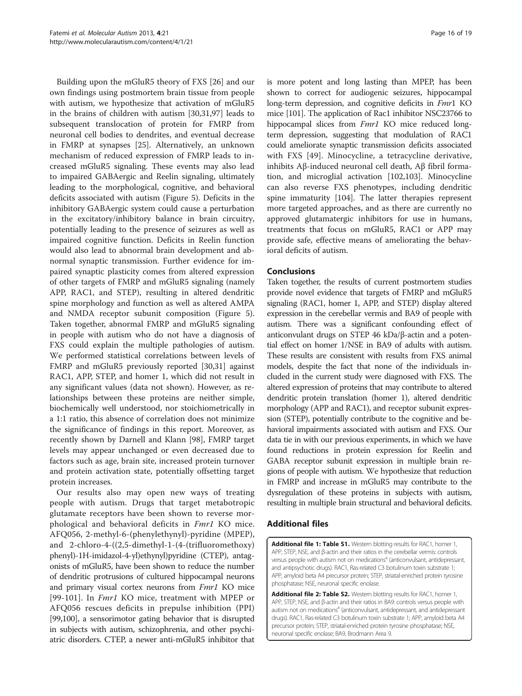<span id="page-15-0"></span>Building upon the mGluR5 theory of FXS [\[26](#page-16-0)] and our own findings using postmortem brain tissue from people with autism, we hypothesize that activation of mGluR5 in the brains of children with autism [[30,31,](#page-17-0)[97\]](#page-18-0) leads to subsequent translocation of protein for FMRP from neuronal cell bodies to dendrites, and eventual decrease in FMRP at synapses [\[25](#page-16-0)]. Alternatively, an unknown mechanism of reduced expression of FMRP leads to increased mGluR5 signaling. These events may also lead to impaired GABAergic and Reelin signaling, ultimately leading to the morphological, cognitive, and behavioral deficits associated with autism (Figure [5](#page-14-0)). Deficits in the inhibitory GABAergic system could cause a perturbation in the excitatory/inhibitory balance in brain circuitry, potentially leading to the presence of seizures as well as impaired cognitive function. Deficits in Reelin function would also lead to abnormal brain development and abnormal synaptic transmission. Further evidence for impaired synaptic plasticity comes from altered expression of other targets of FMRP and mGluR5 signaling (namely APP, RAC1, and STEP), resulting in altered dendritic spine morphology and function as well as altered AMPA and NMDA receptor subunit composition (Figure [5](#page-14-0)). Taken together, abnormal FMRP and mGluR5 signaling in people with autism who do not have a diagnosis of FXS could explain the multiple pathologies of autism. We performed statistical correlations between levels of FMRP and mGluR5 previously reported [[30,31\]](#page-17-0) against RAC1, APP, STEP, and homer 1, which did not result in any significant values (data not shown). However, as relationships between these proteins are neither simple, biochemically well understood, nor stoichiometrically in a 1:1 ratio, this absence of correlation does not minimize the significance of findings in this report. Moreover, as recently shown by Darnell and Klann [\[98\]](#page-18-0), FMRP target levels may appear unchanged or even decreased due to factors such as age, brain site, increased protein turnover and protein activation state, potentially offsetting target protein increases.

Our results also may open new ways of treating people with autism. Drugs that target metabotropic glutamate receptors have been shown to reverse morphological and behavioral deficits in Fmr1 KO mice. AFQ056, 2-methyl-6-(phenylethynyl)-pyridine (MPEP), and 2-chloro-4-((2,5-dimethyl-1-(4-(trifluoromethoxy) phenyl)-1H-imidazol-4-yl)ethynyl)pyridine (CTEP), antagonists of mGluR5, have been shown to reduce the number of dendritic protrusions of cultured hippocampal neurons and primary visual cortex neurons from Fmr1 KO mice [[99](#page-18-0)-[101](#page-18-0)]. In *Fmr1* KO mice, treatment with MPEP or AFQ056 rescues deficits in prepulse inhibition (PPI) [[99,100](#page-18-0)], a sensorimotor gating behavior that is disrupted in subjects with autism, schizophrenia, and other psychiatric disorders. CTEP, a newer anti-mGluR5 inhibitor that is more potent and long lasting than MPEP, has been shown to correct for audiogenic seizures, hippocampal long-term depression, and cognitive deficits in Fmr1 KO mice [\[101\]](#page-18-0). The application of Rac1 inhibitor NSC23766 to hippocampal slices from *Fmr1* KO mice reduced longterm depression, suggesting that modulation of RAC1 could ameliorate synaptic transmission deficits associated with FXS [\[49](#page-17-0)]. Minocycline, a tetracycline derivative, inhibits Aβ-induced neuronal cell death, Aβ fibril formation, and microglial activation [\[102,103](#page-18-0)]. Minocycline can also reverse FXS phenotypes, including dendritic spine immaturity [\[104\]](#page-18-0). The latter therapies represent more targeted approaches, and as there are currently no approved glutamatergic inhibitors for use in humans, treatments that focus on mGluR5, RAC1 or APP may provide safe, effective means of ameliorating the behavioral deficits of autism.

# Conclusions

Taken together, the results of current postmortem studies provide novel evidence that targets of FMRP and mGluR5 signaling (RAC1, homer 1, APP, and STEP) display altered expression in the cerebellar vermis and BA9 of people with autism. There was a significant confounding effect of anticonvulant drugs on STEP 46 kDa/β-actin and a potential effect on homer 1/NSE in BA9 of adults with autism. These results are consistent with results from FXS animal models, despite the fact that none of the individuals included in the current study were diagnosed with FXS. The altered expression of proteins that may contribute to altered dendritic protein translation (homer 1), altered dendritic morphology (APP and RAC1), and receptor subunit expression (STEP), potentially contribute to the cognitive and behavioral impairments associated with autism and FXS. Our data tie in with our previous experiments, in which we have found reductions in protein expression for Reelin and GABA receptor subunit expression in multiple brain regions of people with autism. We hypothesize that reduction in FMRP and increase in mGluR5 may contribute to the dysregulation of these proteins in subjects with autism, resulting in multiple brain structural and behavioral deficits.

# Additional files

[Additional file 1: Table S1.](http://www.biomedcentral.com/content/supplementary/2040-2392-4-21-S1.doc) Western blotting results for RAC1, homer 1, APP, STEP, NSE, and β-actin and their ratios in the cerebellar vermis: controls versus people with autism not on medications<sup>a</sup> (anticonvulsant, antidepressant, and antipsychotic drugs). RAC1, Ras-related C3 botulinum toxin substrate 1; APP, amyloid beta A4 precursor protein; STEP, striatal-enriched protein tyrosine phosphatase; NSE, neuronal specific enolase.

[Additional file 2: Table S2.](http://www.biomedcentral.com/content/supplementary/2040-2392-4-21-S2.doc) Western blotting results for RAC1, homer 1, APP, STEP, NSE, and β-actin and their ratios in BA9: controls versus people with autism not on medications<sup>a</sup> (anticonvulsant, antidepressant, and antidepressant drugs). RAC1, Ras-related C3 botulinum toxin substrate 1; APP, amyloid beta A4 precursor protein; STEP, striatal-enriched protein tyrosine phosphatase; NSE, neuronal specific enolase; BA9, Brodmann Area 9.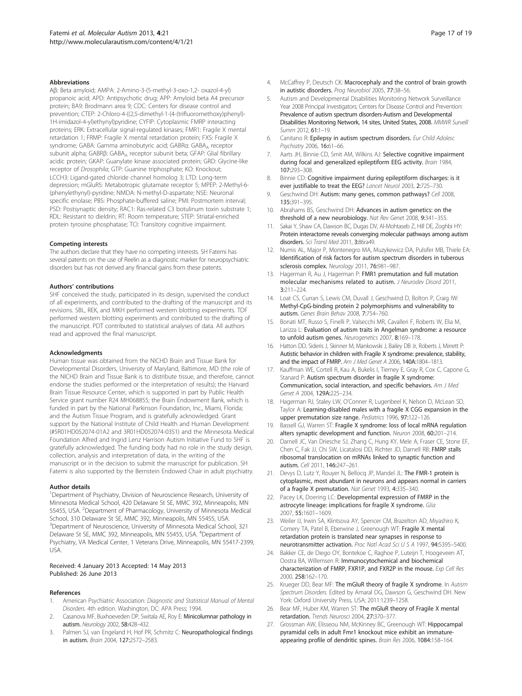#### <span id="page-16-0"></span>**Abbreviations**

Aβ: Beta amyloid; AMPA: 2-Amino-3-(5-methyl-3-oxo-1,2- oxazol-4-yl) propanoic acid; APD: Antipsychotic drug; APP: Amyloid beta A4 precursor protein; BA9: Brodmann area 9; CDC: Centers for disease control and prevention; CTEP: 2-Chloro-4-((2,5-dimethyl-1-(4-(trifluoromethoxy)phenyl)- 1H-imidazol-4-yl)ethynyl)pyridine; CYFIP: Cytoplasmic FMRP interacting proteins; ERK: Extracellular signal-regulated kinases; FMR1: Fragile X mental retardation 1; FRMP: Fragile X mental retardation protein; FXS: Fragile X syndrome; GABA: Gamma aminobutyric acid; GABRα: GABA<sub>A</sub> receptor subunit alpha; GABRβ: GABAA receptor subunit beta; GFAP: Glial fibrillary acidic protein; GKAP: Guanylate kinase associated protein; GRD: Glycine-like receptor of Drosophila; GTP: Guanine triphosphate; KO: Knockout; LCCH3: Ligand-gated chloride channel homolog 3; LTD: Long-term depression; mGluR5: Metabotropic glutamate receptor 5; MPEP: 2-Methyl-6- (phenylethynyl)-pyridine; NMDA: N-methyl-D-aspartate; NSE: Neuronal specific enolase; PBS: Phosphate-buffered saline; PMI: Postmortem interval; PSD: Postsynaptic density; RAC1: Ras-related C3 botulinum toxin substrate 1; RDL: Resistant to dieldrin; RT: Room temperature; STEP: Striatal-enriched protein tyrosine phosphatase; TCI: Transitory cognitive impairment.

#### Competing interests

The authors declare that they have no competing interests. SH Fatemi has several patents on the use of Reelin as a diagnostic marker for neuropsychiatric disorders but has not derived any financial gains from these patents.

#### Authors' contributions

SHF conceived the study, participated in its design, supervised the conduct of all experiments, and contributed to the drafting of the manuscript and its revisions. SBL, REK, and MKH performed western blotting experiments. TDF performed western blotting experiments and contributed to the drafting of the manuscript. PDT contributed to statistical analyses of data. All authors read and approved the final manuscript.

#### Acknowledgments

Human tissue was obtained from the NICHD Brain and Tissue Bank for Developmental Disorders, University of Maryland, Baltimore, MD (the role of the NICHD Brain and Tissue Bank is to distribute tissue, and therefore, cannot endorse the studies performed or the interpretation of results); the Harvard Brain Tissue Resource Center, which is supported in part by Public Health Service grant number R24 MH068855; the Brain Endowment Bank, which is funded in part by the National Parkinson Foundation, Inc., Miami, Florida; and the Autism Tissue Program, and is gratefully acknowledged. Grant support by the National Institute of Child Health and Human Development (#5R01HD052074-01A2 and 3R01HD052074-03S1) and the Minnesota Medical Foundation Alfred and Ingrid Lenz Harrison Autism Initiative Fund to SHF is gratefully acknowledged. The funding body had no role in the study design, collection, analysis and interpretation of data, in the writing of the manuscript or in the decision to submit the manuscript for publication. SH Fatemi is also supported by the Bernstein Endowed Chair in adult psychiatry.

#### Author details

<sup>1</sup>Department of Psychiatry, Division of Neuroscience Research, University of Minnesota Medical School, 420 Delaware St SE, MMC 392, Minneapolis, MN 55455, USA. <sup>2</sup>Department of Pharmacology, University of Minnesota Medical School, 310 Delaware St SE, MMC 392, Minneapolis, MN 55455, USA. <sup>3</sup>Department of Neuroscience, University of Minnesota Medical School, 321 Delaware St SE, MMC 392, Minneapolis, MN 55455, USA. <sup>4</sup>Department of Psychiatry, VA Medical Center, 1 Veterans Drive, Minneapolis, MN 55417-2399, USA.

#### Received: 4 January 2013 Accepted: 14 May 2013 Published: 26 June 2013

#### References

- 1. American Psychiatric Association: Diagnostic and Statistical Manual of Mental Disorders. 4th edition. Washington, DC: APA Press; 1994.
- Casanova MF, Buxhoeveden DP, Switala AE, Roy E: Minicolumnar pathology in autism. Neurology 2002, 58:428–432.
- 3. Palmen SJ, van Engeland H, Hof PR, Schmitz C: Neuropathological findings in autism. Brain 2004, 127:2572–2583.
- 4. McCaffrey P, Deutsch CK: Macrocephaly and the control of brain growth in autistic disorders. Prog Neurobiol 2005, 77:38–56.
- 5. Autism and Developmental Disabilities Monitoring Network Surveillance Year 2008 Principal Investigators; Centers for Disease Control and Prevention: Prevalence of autism spectrum disorders-Autism and Developmental Disabilities Monitoring Network, 14 sites, United States, 2008. MMWR Surveill Summ 2012, 61:1–19.
- 6. Canitano R: Epilepsy in autism spectrum disorders. Eur Child Adolesc Psychiatry 2006, 16:61–66.
- 7. Aarts JH, Binnie CD, Smit AM, Wilkins AJ: Selective cognitive impairment during focal and generalized epileptiform EEG activity. Brain 1984, 107:293–308.
- 8. Binnie CD: Cognitive impairment during epileptiform discharges: is it ever justifiable to treat the EEG? Lancet Neurol 2003, 2:725–730.
- 9. Geschwind DH: Autism: many genes, common pathways? Cell 2008, 135:391–395.
- 10. Abrahams BS, Geschwind DH: Advances in autism genetics: on the threshold of a new neurobiology. Nat Rev Genet 2008, 9:341-355.
- 11. Sakai Y, Shaw CA, Dawson BC, Dugas DV, Al-Mohtaseb Z, Hill DE, Zoghbi HY: Protein interactome reveals converging molecular pathways among autism disorders. Sci Transl Med 2011, 3:86ra49.
- 12. Numis AL, Major P, Montenegro MA, Muzykewicz DA, Pulsifer MB, Thiele EA: Identification of risk factors for autism spectrum disorders in tuberous sclerosis complex. Neurology 2011, 76:981–987.
- 13. Hagerman R, Au J, Hagerman P: FMR1 premutation and full mutation molecular mechanisms related to autism. J Neurodev Disord 2011, 3:211–224.
- 14. Loat CS, Curran S, Lewis CM, Duvall J, Geschwind D, Bolton P, Craig IW: Methyl-CpG-binding protein 2 polymorphisms and vulnerability to autism. Genes Brain Behav 2008, 7:754–760.
- 15. Bonati MT, Russo S, Finelli P, Valsecchi MR, Cavalleri F, Roberts W, Elia M, Larizza L: Evaluation of autism traits in Angelman syndrome: a resource to unfold autism genes. Neurogenetics 2007, 8:169–178.
- 16. Hatton DD, Sideris J, Skinner M, Mankowski J, Bailey DB Jr, Roberts J, Mirrett P: Autistic behavior in children with Fragile X syndrome: prevalence, stability, and the impact of FMRP. Am J Med Genet A 2006, 140A:1804–1813.
- 17. Kauffman WE, Cortell R, Kau A, Bukelis I, Tierney E, Gray R, Cox C, Capone G, Stanard P: Autism spectrum disorder in fragile X syndrome: Communication, social interaction, and specific behaviors. Am J Med Genet A 2004, 129A:225–234.
- 18. Hagerman RJ, Staley LW, O'Conner R, Lugenbeel K, Nelson D, McLean SD, Taylor A: Learning-disabled males with a fragile X CGG expansion in the upper premutation size range. Pediatrics 1996, 97:122–126.
- 19. Bassell GJ, Warren ST: Fragile X syndrome: loss of local mRNA regulation alters synaptic development and function. Neuron 2008, 60:201–214.
- 20. Darnell JC, Van Driesche SJ, Zhang C, Hung KY, Mele A, Fraser CE, Stone EF, Chen C, Fak JJ, Chi SW, Licatalosi DD, Richter JD, Darnell RB: FMRP stalls ribosomal translocation on mRNAs linked to synaptic function and autism. Cell 2011, 146:247–261.
- 21. Devys D, Lutz Y, Rouyer N, Bellocq JP, Mandel JL: The FMR-1 protein is cytoplasmic, most abundant in neurons and appears normal in carriers of a fragile X premutation. Nat Genet 1993, 4:335–340.
- 22. Pacey LK, Doering LC: Developmental expression of FMRP in the astrocyte lineage: implications for fragile X syndrome. Glia 2007, 55:1601–1609.
- 23. Weiler IJ, Irwin SA, Klintsova AY, Spencer CM, Brazelton AD, Miyashiro K, Comery TA, Patel B, Eberwine J, Greenough WT: Fragile X mental retardation protein is translated near synapses in response to neurotransmitter activation. Proc Natl Acad Sci U S A 1997, 94:5395–5400.
- 24. Bakker CE, de Diego OY, Bontekoe C, Raghoe P, Luteijn T, Hoogeveen AT, Oostra BA, Willemsen R: Immunocytochemical and biochemical characterization of FMRP, FXR1P, and FXR2P in the mouse. Exp Cell Res 2000, 258:162–170.
- 25. Krueger DD, Bear MF: The mGluR theory of fragile X syndrome. In Autism Spectrum Disorders. Edited by Amaral DG, Dawson G, Geschwind DH. New York: Oxford University Press, USA; 2011:1239–1258.
- 26. Bear MF, Huber KM, Warren ST: The mGluR theory of Fragile X mental retardation. Trends Neurosci 2004, 27:370–377.
- 27. Grossman AW, Elisseou NM, McKinney BC, Greenough WT: Hippocampal pyramidal cells in adult Fmr1 knockout mice exhibit an immatureappearing profile of dendritic spines. Brain Res 2006, 1084:158–164.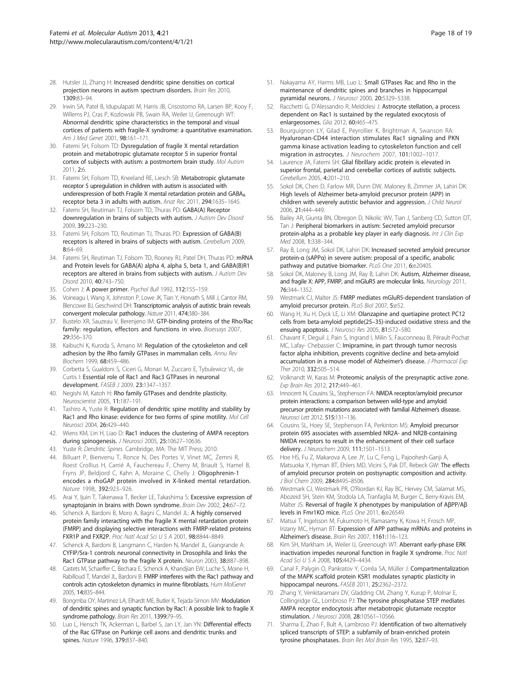- <span id="page-17-0"></span>28. Hutsler JJ, Zhang H: Increased dendritic spine densities on cortical projection neurons in autism spectrum disorders. Brain Res 2010, 1309:83–94.
- 29. Irwin SA, Patel B, Idupulapati M, Harris JB, Crisostomo RA, Larsen BP, Kooy F, Willems PJ, Cras P, Kozlowski PB, Swain RA, Weiler IJ, Greenough WT: Abnormal dendritic spine characteristics in the temporal and visual cortices of patients with fragile-X syndrome: a quantitative examination. Am J Med Genet 2001, 98:161-171.
- 30. Fatemi SH, Folsom TD: Dysregulation of fragile X mental retardation protein and metabotropic glutamate receptor 5 in superior frontal cortex of subjects with autism: a postmortem brain study. Mol Autism 2011, 2:6.
- 31. Fatemi SH, Folsom TD, Kneeland RE, Liesch SB: Metabotropic glutamate receptor 5 upregulation in children with autism is associated with underexpression of both Fragile X mental retardation protein and GABA<sub>A</sub> receptor beta 3 in adults with autism. Anat Rec 2011, 294:1635–1645.
- 32. Fatemi SH, Reutiman TJ, Folsom TD, Thuras PD: GABA(A) Receptor downregulation in brains of subjects with autism. J Autism Dev Disord 2009, 39:223–230.
- 33. Fatemi SH, Folsom TD, Reutiman TJ, Thuras PD: Expression of GABA(B) receptors is altered in brains of subjects with autism. Cerebellum 2009, 8:64–69.
- 34. Fatemi SH, Reutiman TJ, Folsom TD, Rooney RJ, Patel DH, Thuras PD: mRNA and Protein levels for GABA(A) alpha 4, alpha 5, beta 1, and GABA(B)R1 receptors are altered in brains from subjects with autism. J Autism Dev Disord 2010, 40:743–750.
- 35. Cohen J: A power primer. Psychol Bull 1992, 112:155–159.
- 36. Voineagu I, Wang X, Johnston P, Lowe JK, Tian Y, Horvath S, Mill J, Cantor RM, Blencowe BJ, Geschwind DH: Transcriptomic analysis of autistic brain reveals convergent molecular pathology. Nature 2011, 474:380–384.
- 37. Bustelo XR, Sauzeau V, Berenjeno IM: GTP-binding proteins of the Rho/Rac family: regulation, effectors and functions in vivo. Bioessays 2007, 29:356–370.
- 38. Kaibuchi K, Kuroda S, Amano M: Regulation of the cytoskeleton and cell adhesion by the Rho family GTPases in mammalian cells. Annu Rev Biochem 1999, 68:459–486.
- 39. Corbetta S, Gualdoni S, Ciceri G, Monari M, Zuccaro E, Tybulewicz VL, de Curtis I: Essential role of Rac1 and Rac3 GTPases in neuronal development. FASEB J 2009, 23:1347–1357.
- 40. Negishi M, Katoh H: Rho family GTPases and dendrite plasticity. Neuroscientist 2005, 11:187–191.
- 41. Tashiro A, Yuste R: Regulation of dendritic spine motility and stability by Rac1 and Rho kinase: evidence for two forms of spine motility. Mol Cell Neurosci 2004, 26:429–440.
- 42. Wiens KM, Lin H, Liao D: Rac1 induces the clustering of AMPA receptors during spinogenesis. J Neurosci 2005, 25:10627–10636.
- 43. Yuste R: Dendritic Spines. Cambridge, MA: The MIT Press; 2010.
- 44. Billuart P, Bienvenu T, Ronce N, Des Portes V, Vinet MC, Zemni R, Roest Crollius H, Carrié A, Fauchereau F, Cherry M, Briault S, Hamel B, Fryns JP, Beldjord C, Kahn A, Moraine C, Chelly J: Oligophrenin-1 encodes a rhoGAP protein involved in X-linked mental retardation. Nature 1998, 392:923–926.
- 45. Arai Y, Ijuin T, Takenawa T, Becker LE, Takashima S: Excessive expression of synaptojanin in brains with Down syndrome. Brain Dev 2002, 24:67-72.
- 46. Schenck A, Bardoni B, Moro A, Bagni C, Mandel JL: A highly conserved protein family interacting with the fragile X mental retardation protein (FMRP) and displaying selective interactions with FMRP-related proteins FXR1P and FXR2P. Proc Natl Acad Sci U S A 2001, 98:8844–8849.
- 47. Schenck A, Bardoni B, Langmann C, Harden N, Mandel JL, Giangrande A: CYFIP/Sra-1 controls neuronal connectivity in Drosophila and links the Rac1 GTPase pathway to the fragile X protein. Neuron 2003, 38:887–898.
- 48. Castets M, Schaeffer C, Bechara E, Schenck A, Khandjian EW, Luche S, Moine H, Rabilloud T, Mandel JL, Bardoni B: FMRP interferes with the Rac1 pathway and controls actin cytoskeleton dynamics in murine fibroblasts. Hum MolGenet 2005, 14:835–844.
- 49. Bongmba OY, Martinez LA, Elhardt ME, Butler K, Tejada-Simon MV: Modulation of dendritic spines and synaptic function by Rac1: A possible link to fragile X syndrome pathology. Brain Res 2011, 1399:79-95.
- 50. Luo L, Hensch TK, Ackerman L, Barbel S, Jan LY, Jan YN: Differential effects of the Rac GTPase on Purkinje cell axons and dendritic trunks and spines. Nature 1996, 379:837–840.
- 51. Nakayama AY, Harms MB, Luo L: Small GTPases Rac and Rho in the maintenance of dendritic spines and branches in hippocampal pyramidal neurons. J Neurosci 2000, 20:5329–5338.
- 52. Racchetti G, D'Alessandro R, Meldolesi J: Astrocyte stellation, a process dependent on Rac1 is sustained by the regulated exocytosis of enlargeosomes. Glia 2012, 60:465–475.
- 53. Bourguignon LY, Gilad E, Peyrollier K, Brightman A, Swanson RA: Hyaluronan-CD44 interaction stimulates Rac1 signaling and PKN gamma kinase activation leading to cytoskeleton function and cell migration in astrocytes. J Neurochem 2007, 101:1002-1017
- 54. Laurence JA, Fatemi SH: Glial fibrillary acidic protein is elevated in superior frontal, parietal and cerebellar cortices of autistic subjects. Cerebellum 2005, 4:201–210.
- 55. Sokol DK, Chen D, Farlow MR, Dunn DW, Maloney B, Zimmer JA, Lahiri DK: High levels of Alzheimer beta-amyloid precursor protein (APP) in children with severely autistic behavior and aggression. J Child Neurol 2006, 21:444–449.
- Bailey AR, Giunta BN, Obregon D, Nikolic WV, Tian J, Sanberg CD, Sutton DT, Tan J: Peripheral biomarkers in autism: Secreted amyloid precursor protein-alpha as a probable key player in early diagnosis. Int J Clin Exp Med 2008, 1:338–344.
- 57. Ray B, Long JM, Sokol DK, Lahiri DK: Increased secreted amyloid precursor protein-α (sAPPα) in severe autism: proposal of a specific, anabolic pathway and putative biomarker. PLoS One 2011, 6:e20405
- Sokol DK, Maloney B, Long JM, Ray B, Lahiri DK: Autism, Alzheimer disease, and fragile X: APP, FMRP, and mGluR5 are molecular links. Neurology 2011, 76:344–1352.
- 59. Westmark CJ, Malter JS: FMRP mediates mGluR5-dependent translation of amyloid precursor protein. PLoS Biol 2007, 5:e52.
- 60. Wang H, Xu H, Dyck LE, Li XM: Olanzapine and quetiapine protect PC12 cells from beta-amyloid peptide(25–35)-induced oxidative stress and the ensuing apoptosis. J Neurosci Res 2005, 81:572–580.
- 61. Chavant F, Deguil J, Pain S, Ingrand I, Milin S, Fauconneau B, Pérault-Pochat MC, Lafay- Chebassier C: Imipramine, in part through tumor necrosis factor alpha inhibition, prevents cognitive decline and beta-amyloid accumulation in a mouse model of Alzheimer's disease. J Pharmacol Exp Ther 2010, 332:505–514.
- 62. Volknandt W, Karas M: Proteomic analysis of the presynaptic active zone. Exp Brain Res 2012, 217:449–461.
- 63. Innocent N, Cousins SL, Stephenson FA: NMDA receptor/amyloid precursor protein interactions: a comparison between wild-type and amyloid precursor protein mutations associated with familial Alzheimer's disease. Neurosci Lett 2012, 515:131-136.
- 64. Cousins SL, Hoey SE, Stephenson FA, Perkinton MS: Amyloid precursor protein 695 associates with assembled NR2A- and NR2B-containing NMDA receptors to result in the enhancement of their cell surface delivery. J Neurochem 2009, 111:1501–1513.
- 65. Hoe HS, Fu Z, Makarova A, Lee JY, Lu C, Feng L, Pajoohesh-Ganji A, Matsuoka Y, Hyman BT, Ehlers MD, Vicini S, Pak DT, Rebeck GW: The effects of amyloid precursor protein on postsynaptic composition and activity. J Biol Chem 2009, 284:8495–8506.
- 66. Westmark CJ, Westmark PR, O'Riordan KJ, Ray BC, Hervey CM, Salamat MS, Abozeid SH, Stein KM, Stodola LA, Tranfaglia M, Burger C, Berry-Kravis EM, Malter JS: Reversal of fragile X phenotypes by manipulation of AβPP/Aβ levels in Fmr1KO mice. PLoS One 2011, 6:e26549.
- 67. Matsui T, Ingelsson M, Fukumoto H, Ramasamy K, Kowa H, Frosch MP, Irizarry MC, Hyman BT: Expression of APP pathway mRNAs and proteins in Alzheimer's disease. Brain Res 2007, 1161:116–123.
- 68. Kim SH, Markham JA, Weiler IJ, Greenough WT: Aberrant early-phase ERK inactivation impedes neuronal function in fragile X syndrome. Proc Natl Acad Sci U S A 2008, 105:4429–4434.
- 69. Canal F, Palygin O, Pankratov Y, Corrêa SA, Müller J: Compartmentalization of the MAPK scaffold protein KSR1 modulates synaptic plasticity in hippocampal neurons. FASEB 2011, 25:2362–2372.
- 70. Zhang Y, Venkitaramani DV, Gladding CM, Zhang Y, Kurup P, Molnar E, Collingridge GL, Lombroso PJ: The tyrosine phosphatase STEP mediates AMPA receptor endocytosis after metabotropic glutamate receptor stimulation. *J Neurosci* 2008, 28:10561-10566.
- 71. Sharma E, Zhao F, Bult A, Lambroso PJ: Identification of two alternatively spliced transcripts of STEP: a subfamily of brain-enriched protein tyrosine phosphatases. Brain Res Mol Brain Res 1995, 32:87–93.